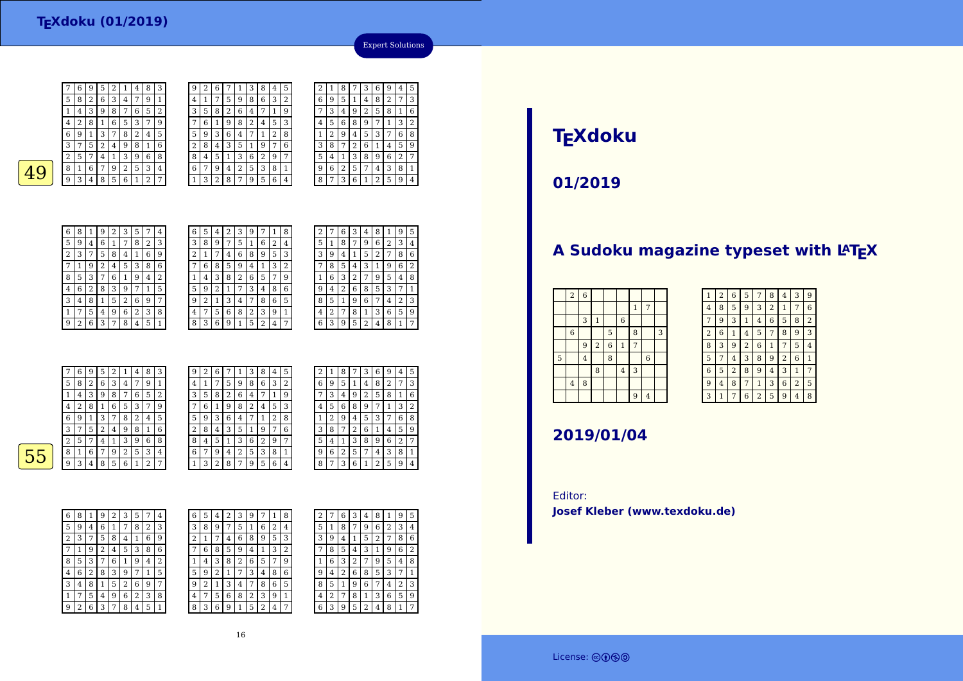7

5

4

1

 $\frac{3}{4}$ 

 $\frac{9}{2}$ 

 $8 | 1 | 5 | 2 | 6 | 9 | 7$ 

 $5 | 4 | 9 | 6 | 2 | 3 | 8$ 

<sup>6</sup> <sup>3</sup> <sup>7</sup> <sup>8</sup> <sup>4</sup> <sup>5</sup> <sup>1</sup>

 $\begin{array}{|c|c|c|c|c|c|}\n\hline\n & 6 & 3 & 4 & 7 & 9 & 1\n\end{array}$ 

| 3 | 7 | 5              | 2 | 4            | 9              | 8 | 1 | 6 | 2 | 8 | 4 | 3 | 5              | 1 | 9              | 7 | 6 |
|---|---|----------------|---|--------------|----------------|---|---|---|---|---|---|---|----------------|---|----------------|---|---|
| 2 | 5 | 7              | 4 | $\mathbf{1}$ | 3              | 9 | 6 | 8 | 8 | 4 | 5 | 1 | 3              | 6 | $\overline{2}$ | 9 | 7 |
| 8 | 1 | 6              | 7 | 9            | $\overline{2}$ | 5 | 3 | 4 | 6 | 7 | 9 | 4 | 2              | 5 | 3              | 8 | 1 |
| 9 | 3 | 4              | 8 | 5            | 6              | 1 | 2 | 7 | 1 | 3 | 2 | 8 | 7              | 9 | 5              | 6 | 4 |
|   |   |                |   |              |                |   |   |   |   |   |   |   |                |   |                |   |   |
|   |   |                |   |              |                |   |   |   |   |   |   |   |                |   |                |   |   |
|   |   |                |   |              |                |   |   |   |   |   |   |   |                |   |                |   |   |
|   |   |                |   |              |                |   |   |   |   |   |   |   |                |   |                |   |   |
| 6 | 8 |                |   |              |                |   |   |   |   |   |   |   |                |   |                |   |   |
|   |   | 1              | 9 | 2            | 3              | 5 | 7 | 4 | 6 | 5 | 4 | 2 | 3              | 9 | 7              | 1 | 8 |
| 5 | 9 | 4              | 6 | 1            | 7              | 8 | 2 | 3 | 3 | 8 | 9 | 7 | 5              | 1 | 6              | 2 | 4 |
| 2 | 3 | 7              | 5 | 8            | 4              | 1 | 6 | 9 | 2 | 1 | 7 | 4 | 6              | 8 | 9              | 5 | 3 |
| 7 | 1 | 9              | 2 | 4            | 5              | 3 | 8 | 6 | 7 | 6 | 8 | 5 | 9              | 4 | 1              | 3 | 2 |
| 8 | 5 | 3              | 7 | 6            | 1              | 9 | 4 | 2 | 1 | 4 | 3 | 8 | $\overline{2}$ | 6 | 5              | 7 | 9 |
| 4 | 6 | $\overline{2}$ | 8 | 3            | 9              | 7 | 1 | 5 | 5 | 9 | 2 | 1 | 7              | 3 | 4              | 8 | 6 |

<sup>1</sup> <sup>3</sup> <sup>4</sup> <sup>7</sup> <sup>8</sup> <sup>6</sup> <sup>5</sup>

<sup>7</sup> <sup>5</sup> <sup>6</sup> <sup>8</sup> <sup>2</sup> <sup>3</sup> <sup>9</sup> <sup>1</sup> 8 <sup>3</sup> <sup>6</sup> <sup>9</sup> <sup>1</sup> <sup>5</sup> <sup>2</sup> <sup>4</sup> <sup>7</sup>

 $\frac{9}{2}$ 

 $4 \overline{7}$ 

 $\overline{2}$ 

1 <sup>4</sup> <sup>3</sup> <sup>8</sup> <sup>2</sup> <sup>6</sup> <sup>5</sup> <sup>7</sup> <sup>9</sup> 5<sup>9</sup> <sup>2</sup>

 $\begin{array}{|c|c|c|c|c|c|c|c|}\n\hline\n1&7 &5 &9 &8 &6 &3 &2\n\end{array}$ <sup>1</sup> <sup>7</sup> <sup>5</sup> <sup>9</sup> <sup>8</sup> <sup>6</sup> <sup>3</sup> <sup>2</sup>

 <sup>5</sup> <sup>8</sup> <sup>2</sup> <sup>6</sup> <sup>4</sup> <sup>7</sup> <sup>1</sup> <sup>9</sup> 7 <sup>6</sup> <sup>1</sup> <sup>9</sup> <sup>8</sup> <sup>2</sup> <sup>4</sup> <sup>5</sup> <sup>3</sup> 5 <sup>9</sup> <sup>3</sup> <sup>6</sup> <sup>4</sup> <sup>7</sup> <sup>1</sup> <sup>2</sup> <sup>8</sup>

9 $\begin{array}{c|c} 9 & 2 \\ \hline 4 & 1 \end{array}$ 

 $\overline{3}$ 

| 2 |   | 6 | 3 | 4 | 8 | 1 | 9 | 5              |
|---|---|---|---|---|---|---|---|----------------|
| 5 | 1 | 8 | 7 | 9 | 6 | 2 | 3 | 4              |
| 3 | 9 | 4 | 1 | 5 | 2 | 7 | 8 | 6              |
|   | 8 | 5 | 4 | 3 | 1 | 9 | 6 | $\overline{2}$ |
| 1 | 6 | 3 | 2 | 7 | 9 | 5 | 4 | 8              |
| 9 | 4 | 2 | 6 | 8 | 5 | 3 | 7 | 1              |
| 8 | 5 | 1 | 9 | 6 | 7 | 4 | 2 | 3              |
| 4 | 2 | 7 | 8 | 1 | 3 | 6 | 5 | 9              |
| 6 | 3 | 9 | 5 | 2 | 4 | 8 | 1 | 7              |
|   |   |   |   |   |   |   |   |                |

2

 $\sqrt{4}$ 

 $\lceil 1 \rceil$  2

 $\frac{5}{1}$ 

8 $|7\rangle$ 

 $\frac{3}{2}$  8 | 7

 $9 \mid 6 \mid 2$ 

 $\frac{6}{9}$  5 1

Expert Solutions

<sup>1</sup> <sup>8</sup> <sup>7</sup> <sup>3</sup> <sup>6</sup> <sup>9</sup> <sup>4</sup> <sup>5</sup>

 $\sqrt{2}$  6  $\sqrt{1}$ 

 $\begin{array}{|c|c|c|c|c|}\n\hline\n2 & 5 & 7 & 4 & 3 \\
\hline\n3 & 6 & 1 & 2 & 5\n\end{array}$ 

 $\begin{array}{|c|c|c|c|c|}\n\hline\n1 & 4 & 8 & 2 & 7 \\
\hline\n9 & 2 & 5 & 8 & 1\n\end{array}$ 7 <sup>3</sup> <sup>4</sup> <sup>9</sup> <sup>2</sup> <sup>5</sup> <sup>8</sup> <sup>1</sup> <sup>6</sup>

<sup>5</sup> <sup>6</sup> <sup>8</sup> <sup>9</sup> <sup>7</sup> <sup>1</sup> <sup>3</sup> <sup>2</sup>

<sup>1</sup> <sup>3</sup> <sup>8</sup> <sup>9</sup> <sup>6</sup> <sup>2</sup> <sup>7</sup>

<sup>3</sup> <sup>6</sup> <sup>1</sup> <sup>2</sup> <sup>5</sup> <sup>9</sup> <sup>4</sup>

 $\begin{array}{|c|c|c|c|c|}\n\hline\n & 6 & 1 & 4 & 5 \\
\hline\n\end{array}$ 

|   | 7 | 6 | 9 | 5 | 2 | 1              | 4 | 8 | 3 | 9      | 2 | 6              | 7 | 1              | 3 | 8 | 4 | 5 |
|---|---|---|---|---|---|----------------|---|---|---|--------|---|----------------|---|----------------|---|---|---|---|
|   | 5 | 8 | 2 | 6 | 3 | $\overline{4}$ | 7 | 9 | 1 | 4      |   | 7              | 5 | 9              | 8 | 6 | 3 | 2 |
|   |   | 4 | 3 | 9 | 8 | 7              | 6 | 5 | 2 | 3      | 5 | 8              | 2 | 6              | 4 | ⇁ |   | 9 |
|   | 4 | 2 | 8 |   | 6 | 5              | 3 | 7 | 9 | 7      | 6 |                | 9 | 8              | 2 | 4 | 5 | 3 |
|   | 6 | 9 | 1 | 3 | 7 | 8              | 2 | 4 | 5 | 5      | 9 | 3              | 6 | 4              | 7 |   | 2 | 8 |
|   | 3 | ⇁ | 5 | 2 | 4 | 9              | 8 | 1 | 6 | ∍<br>∠ | 8 | 4              | 3 | 5              | 1 | 9 |   | 6 |
|   | 2 | 5 | 7 | 4 |   | 3              | 9 | 6 | 8 | 8      | 4 | 5              |   | 3              | 6 | 2 | 9 | 7 |
| 5 | 8 |   | 6 | 7 | 9 | 2              | 5 | 3 | 4 | 6      | 7 | 9              | 4 | $\overline{2}$ | 5 | 3 | 8 |   |
|   | q | 3 | 4 | 8 | 5 | 6              |   | ∍ | ⇁ |        | 3 | $\overline{2}$ | 8 | 7              | 9 | 5 | 6 | 4 |
|   |   |   |   |   |   |                |   |   |   |        |   |                |   |                |   |   |   |   |

| 5 | 2 | 1 | 8                       |   | 3 | 6 | 9 | 4 | 5              |
|---|---|---|-------------------------|---|---|---|---|---|----------------|
| 2 | 6 | 9 | 5                       | 1 | 4 | 8 | 2 | 7 | 3              |
| 9 |   | 3 | $\overline{\mathbf{4}}$ | 9 | 2 | 5 | 8 | 1 | 6              |
| 3 | 4 | 5 | 6                       | 8 | 9 | 7 | 1 | 3 | $\overline{2}$ |
| 8 | 1 | 2 | 9                       | 4 | 5 | 3 |   | 6 | 8              |
| 6 | 3 | 8 | 7                       | 2 | 6 | 1 | 4 | 5 | 9              |
| 7 | 5 | 4 | 1                       | 3 | 8 | 9 | 6 | 2 | 7              |
| 1 | 9 | 6 | 2                       | 5 | 7 | 4 | 3 | 8 | 1              |
| 4 | 8 | 7 | 3                       | 6 | 1 | 2 | 5 | 9 | 4              |
|   |   |   |                         |   |   |   |   |   |                |

55

| 6              | 8 | 1 | 9 | 2 | 3 | 5              |   | 4              |
|----------------|---|---|---|---|---|----------------|---|----------------|
| 5              | 9 | 4 | 6 | 1 | 7 | 8              | 2 | 3              |
| $\overline{2}$ | 3 | 7 | 5 | 8 | 4 | 1              | 6 | 9              |
|                | 1 | 9 | 2 | 4 | 5 | 3              | 8 | 6              |
| 8              | 5 | 3 | 7 | 6 | 1 | 9              | 4 | $\overline{2}$ |
| 4              | 6 | 2 | 8 | 3 | 9 |                | 1 | 5              |
| 3              | 4 | 8 | 1 | 5 | 2 | 6              | 9 | 7              |
| 1              | 7 | 5 | 4 | 9 | 6 | $\overline{2}$ | 3 | 8              |
| g              | 2 | 6 | 3 | 7 | 8 | 4              | 5 | 1              |

| 6              | 5 | 4 | 2 | 3 | 9 |   |   | 8 | 2 |        | 6      | 3      | 4 | 8 |   | 9 | 5              |
|----------------|---|---|---|---|---|---|---|---|---|--------|--------|--------|---|---|---|---|----------------|
| 3              | 8 | 9 | 7 | 5 | 1 | 6 | 2 | 4 | 5 |        | 8      |        | 9 | 6 | 2 | 3 | 4              |
| $\overline{2}$ |   | 7 | 4 | 6 | 8 | 9 | 5 | 3 | 3 | 9      | 4      |        | 5 | 2 | 7 | 8 | 6              |
| 7              | 6 | 8 | 5 | 9 | 4 | 1 | 3 | 2 |   | 8      | 5      | 4      | 3 |   | 9 | 6 | $\overline{2}$ |
| 1              | 4 | 3 | 8 | 2 | 6 | 5 | 7 | 9 | 1 | 6      | 3      | ∍<br>∠ | 7 | 9 | 5 | 4 | 8              |
| 5              | 9 | 2 | 1 | 7 | 3 | 4 | 8 | 6 | 9 | 4      | າ<br>∠ | 6      | 8 | 5 | 3 | 7 | 1              |
| 9              | 2 | 1 | 3 | 4 | 7 | 8 | 6 | 5 | 8 | 5      |        | 9      | 6 | 7 | 4 | 2 | 3              |
| 4              | 7 | 5 | 6 | 8 | 2 | 3 | 9 | 1 | 4 | ∍<br>∠ | 7      | 8      | 1 | 3 | 6 | 5 | g              |
| 8              | 3 | 6 | 9 | 1 | 5 | 2 | 4 | 7 | 6 | 3      | 9      | 5      | 2 | 4 | 8 | 1 | 7              |
|                |   |   |   |   |   |   |   |   |   |        |        |        |   |   |   |   |                |

# **TEXdoku**

**01/2019**

### A Sudoku magazine typeset with LATEX

|   | $\,2$          | $\boldsymbol{6}$ |                         |                |                |                |                |   |
|---|----------------|------------------|-------------------------|----------------|----------------|----------------|----------------|---|
|   |                |                  |                         |                |                | $\mathbf{1}$   | 7              |   |
|   |                | 3                | $\mathbf{1}$            |                | $\,$ 6 $\,$    |                |                |   |
|   | $\,$ 6 $\,$    |                  |                         | $\overline{5}$ |                | 8              |                | 3 |
|   |                | 9                | $\overline{\mathbf{c}}$ | $\overline{6}$ | $\mathbf{1}$   | $\overline{7}$ |                |   |
| 5 |                | $\overline{4}$   |                         | 8              |                |                | $\overline{6}$ |   |
|   |                |                  | 8                       |                | $\overline{4}$ | 3              |                |   |
|   | $\overline{4}$ | 8                |                         |                |                |                |                |   |
|   |                |                  |                         |                |                | 9              | $\overline{4}$ |   |

| $\mathbf{1}$   | $\overline{2}$ | 6              | 5              | 7              | 8              | 4              | 3              | 9 |
|----------------|----------------|----------------|----------------|----------------|----------------|----------------|----------------|---|
| $\overline{4}$ | 8              | 5              | 9              | 3              | $\overline{2}$ | $\mathbf{1}$   | 7              | 6 |
| 7              | 9              | 3              | $\mathbf{1}$   | 4              | 6              | 5              | 8              | 2 |
| $\overline{2}$ | 6              | 1              | 4              | 5              | 7              | 8              | 9              | 3 |
| 8              | 3              | 9              | $\overline{2}$ | 6              | 1              | 7              | 5              | 4 |
| 5              | 7              | 4              | 3              | 8              | 9              | $\overline{2}$ | 6              | 1 |
| 6              | 5              | $\overline{2}$ | 8              | 9              | 4              | 3              | 1              | 7 |
| 9              | 4              | 8              | 7              | 1              | 3              | 6              | $\overline{2}$ | 5 |
| 3              | $\overline{1}$ | 7              | 6              | $\overline{2}$ | 5              | 9              | 4              | 8 |

### **2019/01/04**

Editor:**Josef Kleber (www.texdoku.de)**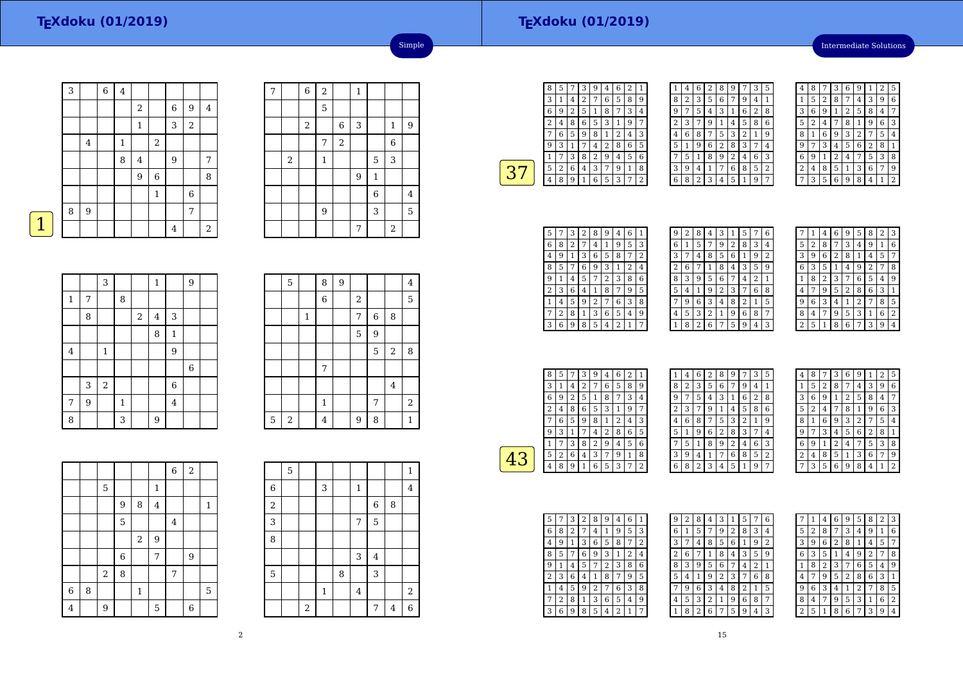# **TEXdoku (01/2019)**

Intermediate Solutions

|   | 3 |                | $\overline{6}$ | $\bf 4$ |                  |                |                |                |            |
|---|---|----------------|----------------|---------|------------------|----------------|----------------|----------------|------------|
|   |   |                |                |         | $\overline{2}$   |                | 6              | 9              | 4          |
|   |   |                |                |         | $\mathbf{1}$     |                | 3              | $\overline{2}$ |            |
|   |   | $\overline{4}$ |                | 1       |                  | $\overline{2}$ |                |                |            |
|   |   |                |                | 8       | $\bf 4$          |                | $\overline{9}$ |                | 7          |
|   |   |                |                |         | $\boldsymbol{9}$ | $\,6$          |                |                | 8          |
|   |   |                |                |         |                  | $\mathbf{1}$   |                | $\,$ 6 $\,$    |            |
|   | 8 | 9              |                |         |                  |                |                | 7              |            |
| 1 |   |                |                |         |                  |                | 4              |                | $\sqrt{2}$ |

| 7 |            | $\,$ 6 $\,$ | $\sqrt{2}$     |       | $\mathbf{1}$ |                |              |   |
|---|------------|-------------|----------------|-------|--------------|----------------|--------------|---|
|   |            |             | 5              |       |              |                |              |   |
|   |            | $\,2$       |                | 6     | 3            |                | $\mathbf{1}$ | 9 |
|   |            |             | 7              | $\,2$ |              |                | 6            |   |
|   | $\sqrt{2}$ |             | $\mathbf{1}$   |       |              | 5              | 3            |   |
|   |            |             |                |       | 9            | $\mathbf{1}$   |              |   |
|   |            |             |                |       |              | $\overline{6}$ |              | 4 |
|   |            |             | $\overline{9}$ |       |              | 3              |              | 5 |
|   |            |             |                |       | 7            |                | $\sqrt{2}$   |   |

Simple

|--|

|             |   | 3            |              |            | $\mathbf{1}$            |                | 9 |  |
|-------------|---|--------------|--------------|------------|-------------------------|----------------|---|--|
| $\mathbf 1$ | 7 |              | 8            |            |                         |                |   |  |
|             | 8 |              |              | $\sqrt{2}$ | $\overline{\mathbf{4}}$ | 3              |   |  |
|             |   |              |              |            | 8                       | $\mathbf{1}$   |   |  |
| $\bf 4$     |   | $\mathbf{1}$ |              |            |                         | 9              |   |  |
|             |   |              |              |            |                         |                | 6 |  |
|             | 3 | $\,2$        |              |            |                         | $\overline{6}$ |   |  |
| 7           | 9 |              | $\mathbf{1}$ |            |                         | 4              |   |  |
| 8           |   |              | 3            |            | 9                       |                |   |  |

|   | 5 |             | 8              | 9 |   |   |                  | $\overline{4}$ |
|---|---|-------------|----------------|---|---|---|------------------|----------------|
|   |   |             | $\overline{6}$ |   | 2 |   |                  | 5              |
|   |   | $\mathbf 1$ |                |   | 7 | 6 | 8                |                |
|   |   |             |                |   | 5 | 9 |                  |                |
|   |   |             |                |   |   | 5 | $\boldsymbol{2}$ | 8              |
|   |   |             | 7              |   |   |   |                  |                |
|   |   |             |                |   |   |   | $\overline{4}$   |                |
|   |   |             | $\mathbf{1}$   |   |   | 7 |                  | $\sqrt{2}$     |
| 5 | 2 |             | 4              |   | 9 | 8 |                  | $\mathbf{1}$   |

|                |   |       |   |              |                | $\overline{6}$ | $\overline{a}$ |              |
|----------------|---|-------|---|--------------|----------------|----------------|----------------|--------------|
|                |   | 5     |   |              | $\mathbf{1}$   |                |                |              |
|                |   |       | 9 | 8            | $\overline{4}$ |                |                | $\mathbf{1}$ |
|                |   |       | 5 |              |                | $\overline{4}$ |                |              |
|                |   |       |   | $\sqrt{2}$   | 9              |                |                |              |
|                |   |       | 6 |              | 7              |                | $\overline{9}$ |              |
|                |   | $\,2$ | 8 |              |                | $\overline{7}$ |                |              |
| $\overline{6}$ | 8 |       |   | $\mathbf{1}$ |                |                |                | 5            |
| $\overline{4}$ |   | 9     |   |              | 5              |                | $\overline{6}$ |              |

|             | 5 |       |              |   |              |             |   | $\mathbf{1}$   |
|-------------|---|-------|--------------|---|--------------|-------------|---|----------------|
| $\,6\,$     |   |       | 3            |   | $\mathbf{1}$ |             |   | $\overline{4}$ |
| $\,2$       |   |       |              |   |              | $\,$ 6 $\,$ | 8 |                |
| 3           |   |       |              |   | 7            | 5           |   |                |
| 8           |   |       |              |   |              |             |   |                |
|             |   |       |              |   | 3            | 4           |   |                |
| $\mathbf 5$ |   |       |              | 8 |              | 3           |   |                |
|             |   |       | $\mathbf{1}$ |   | $\bf 4$      |             |   | $\overline{2}$ |
|             |   | $\,2$ |              |   |              | 7           | 4 | $\overline{6}$ |

| 8 | 5 | 7 | 3 | 9 | 4 | 6 | $\overline{2}$ | $\mathbf{1}$   |
|---|---|---|---|---|---|---|----------------|----------------|
| 3 | 1 | 4 | 2 | 7 | 6 | 5 | 8              | 9              |
| 6 | 9 | 2 | 5 | 1 | 8 | 7 | 3              | 4              |
| 2 | 4 | 8 | 6 | 5 | 3 | 1 | 9              | 7              |
|   | 6 | 5 | 9 | 8 | 1 | 2 | 4              | 3              |
| 9 | 3 | 1 | 7 | 4 | 2 | 8 | 6              | 5              |
| 1 |   | 3 | 8 | 2 | 9 | 4 | 5              | 6              |
| 5 | 2 | 6 | 4 | 3 | 7 | 9 | 1              | 8              |
| 4 | 8 | 9 | 1 | 6 | 5 | 3 | 7              | $\overline{2}$ |
|   |   |   |   |   |   |   |                |                |

| 1 | 4 | 6 | 2 | 8 | 9           | 7 | 3 | 5              |
|---|---|---|---|---|-------------|---|---|----------------|
| 8 | 2 | 3 | 5 | 6 | 7           | 9 | 4 | 1              |
| 9 | 7 | 5 | 4 | 3 | $\mathbf 1$ | 6 | 2 | 8              |
| 2 | 3 | 7 | 9 | 1 | 4           | 5 | 8 | 6              |
| 4 | 6 | 8 | 7 | 5 | 3           | 2 | 1 | 9              |
| 5 | 1 | 9 | 6 | 2 | 8           | 3 | 7 | 4              |
|   | 5 | 1 | 8 | 9 | 2           | 4 | 6 | 3              |
| 3 | 9 | 4 | 1 | 7 | 6           | 8 | 5 | $\overline{2}$ |
| 6 | 8 | 2 | 3 | 4 | 5           | 1 | 9 | 7              |

| 4 | 8 |   | 3              | 6 | 9 | 1              | $\overline{2}$ | 5 |
|---|---|---|----------------|---|---|----------------|----------------|---|
| 1 | 5 | 2 | 8              | 7 | 4 | 3              | 9              | 6 |
| 3 | 6 | 9 | 1              | 2 | 5 | 8              | 4              |   |
| 5 | 2 | 4 | 7              | 8 | 1 | 9              | 6              | 3 |
| 8 | 1 | 6 | 9              | 3 | 2 | 7              | 5              | 4 |
| 9 | 7 | 3 | 4              | 5 | 6 | $\overline{2}$ | 8              | 1 |
| 6 | 9 | 1 | $\overline{c}$ | 4 | 7 | 5              | 3              | 8 |
| 2 | 4 | 8 | 5              | 1 | 3 | 6              | 7              | 9 |
|   | 3 | 5 | 6              | q | 8 | 4              |                | 2 |

| 5 | 7 | 3 | 2 | 8 | 9 | 4 | 6            | 1 |
|---|---|---|---|---|---|---|--------------|---|
| 6 | 8 | 2 | 7 | 4 | 1 | 9 | 5            | 3 |
| 4 | 9 | 1 | 3 | 6 | 5 | 8 | 7            | 2 |
| 8 | 5 |   | 6 | 9 | 3 | 1 | 2            | 4 |
| 9 | 1 | 4 | 5 | 7 | 2 | 3 | 8            | 6 |
| 2 | 3 | 6 | 4 | 1 | 8 |   | 9            | 5 |
| 1 | 4 | 5 | 9 | 2 | 7 | 6 | 3            | 8 |
|   | 2 | 8 | 1 | 3 | 6 | 5 | 4            | 9 |
| 3 | 6 | 9 | 8 | 5 | 4 | 2 | $\mathbf{1}$ | 7 |

| 9 | 2 | 8                       | 4 | З | 1 | 5              | 7 | 6              |
|---|---|-------------------------|---|---|---|----------------|---|----------------|
| 6 | 1 | 5                       | 7 | 9 | 2 | 8              | 3 | 4              |
| 3 | 7 | 4                       | 8 | 5 | 6 | 1              | 9 | $\overline{2}$ |
| 2 | 6 | 7                       | 1 | 8 | 4 | 3              | 5 | 9              |
| 8 | 3 | 9                       | 5 | 6 | 7 | 4              | 2 | $\mathbf{1}$   |
| 5 | 4 | 1                       | 9 | 2 | 3 | 7              | 6 | 8              |
|   | 9 | 6                       | 3 | 4 | 8 | $\overline{2}$ | 1 | 5              |
| 4 | 5 | 3                       | 2 | 1 | 9 | 6              | 8 | 7              |
|   | 8 | $\overline{\mathbf{c}}$ | 6 | 7 | 5 | 9              | 4 | 3              |
|   |   |                         |   |   |   |                |   |                |

|   |   | 4 | 6 | g | 5              | 8 | $\overline{c}$ | 3 |
|---|---|---|---|---|----------------|---|----------------|---|
| 5 | 2 | 8 | 7 | 3 | 4              | 9 | 1              | 6 |
| 3 | 9 | 6 | 2 | 8 | 1              | 4 | 5              | 7 |
| 6 | 3 | 5 | 1 | 4 | 9              | 2 | 7              | 8 |
| 1 | 8 | 2 | 3 | 7 | 6              | 5 | 4              | 9 |
| 4 | 7 | 9 | 5 | 2 | 8              | 6 | 3              | 1 |
| 9 | 6 | 3 | 4 | 1 | $\overline{c}$ |   | 8              | 5 |
| 8 | 4 | 7 | 9 | 5 | 3              | 1 | 6              | 2 |
| 2 | 5 | 1 | 8 | 6 |                | 3 | 9              | 4 |

| 8 | 5 |   | 3              | 9 | 4 | 6 | 2 |   |  |
|---|---|---|----------------|---|---|---|---|---|--|
| 3 | 1 | 4 | $\overline{c}$ | 7 | 6 | 5 | 8 | 9 |  |
| 6 | 9 | 2 | 5              | 1 | 8 | 7 | 3 | 4 |  |
| 2 | 4 | 8 | 6              | 5 | 3 | 1 | 9 | 7 |  |
| 7 | 6 | 5 | 9              | 8 | 1 | 2 | 4 | 3 |  |
| 9 | 3 | 1 | 7              | 4 | 2 | 8 | 6 | 5 |  |
|   |   | 3 | 8              | 2 | 9 | 4 | 5 | 6 |  |
| 5 | 2 | 6 | 4              | 3 | 7 | 9 | 1 | 8 |  |
| 4 | 8 | 9 | 1              | 6 | 5 | 3 | 7 | 2 |  |

| 1 | 4 | 6 | $\overline{2}$ | 8 | 9 | 7              | 3 | 5 |  |
|---|---|---|----------------|---|---|----------------|---|---|--|
| 8 | 2 | 3 | 5              | 6 | 7 | 9              | 4 | 1 |  |
| 9 | 7 | 5 | 4              | 3 | 1 | 6              | 2 | 8 |  |
| 2 | 3 |   | 9              | 1 | 4 | 5              | 8 | 6 |  |
| 4 | 6 | 8 | 7              | 5 | 3 | $\overline{2}$ | 1 | 9 |  |
| 5 | 1 | 9 | 6              | 2 | 8 | 3              | 7 | 4 |  |
|   | 5 | 1 | 8              | 9 | 2 | 4              | 6 | 3 |  |
| 3 | 9 | 4 | 1              | 7 | 6 | 8              | 5 | 2 |  |
| 6 | 8 | 2 | 3              | 4 | 5 | 1              | 9 | 7 |  |

| 4 | 8 |   | 3 | 6              | g |                | 2 | 5 |
|---|---|---|---|----------------|---|----------------|---|---|
| 1 | 5 | 2 | 8 | 7              | 4 | 3              | 9 | 6 |
| 3 | 6 | 9 | 1 | $\overline{c}$ | 5 | 8              | 4 |   |
| 5 | 2 | 4 | 7 | 8              | 1 | 9              | 6 | 3 |
| 8 | 1 | 6 | 9 | 3              | 2 | 7              | 5 | 4 |
| 9 | 7 | 3 | 4 | 5              | 6 | $\overline{2}$ | 8 | 1 |
| 6 | g | 1 | 2 | 4              |   | 5              | 3 | 8 |
| 2 | 4 | 8 | 5 | 1              | 3 | 6              | 7 | 9 |
|   | 3 | 5 | 6 | 9              | 8 | 4              | 1 | 2 |

| 5 | 7 | 3 | 2 | 8 | 9 | 4              | 6 | 1              |  |
|---|---|---|---|---|---|----------------|---|----------------|--|
| 6 | 8 | 2 | 7 | 4 | 1 | 9              | 5 | 3              |  |
| 4 | 9 | 1 | 3 | 6 | 5 | 8              | 7 | $\overline{2}$ |  |
| 8 | 5 |   | 6 | 9 | 3 | 1              | 2 | 4              |  |
| 9 | 1 | 4 | 5 | 7 | 2 | 3              | 8 | 6              |  |
| 2 | 3 | 6 | 4 | 1 | 8 | 7              | 9 | 5              |  |
| 1 | 4 | 5 | 9 | 2 |   | 6              | 3 | 8              |  |
| 7 | 2 | 8 | 1 | 3 | 6 | 5              | 4 | 9              |  |
| 3 | 6 | 9 | 8 | 5 | 4 | $\overline{c}$ | 1 | 7              |  |

| g              | 2 | 8              | 4              | 3 |   | 5              | 7              | 6 |
|----------------|---|----------------|----------------|---|---|----------------|----------------|---|
| 6              | 1 | 5              | 7              | 9 | 2 | 8              | 3              | 4 |
| 3              | 7 | 4              | 8              | 5 | 6 | 1              | 9              | 2 |
| $\overline{2}$ | 6 | 7              | 1              | 8 | 4 | 3              | 5              | 9 |
| 8              | 3 | 9              | 5              | 6 | 7 | 4              | $\overline{2}$ | 1 |
| 5              | 4 | 1              | 9              | 2 | 3 | 7              | 6              | 8 |
|                | 9 | 6              | 3              | 4 | 8 | $\overline{2}$ | 1              | 5 |
| 4              | 5 | 3              | $\overline{2}$ | 1 | 9 | 6              | 8              | 7 |
|                | 8 | $\overline{2}$ | 6              | 7 | 5 | 9              | 4              | 3 |

|   | 1              | 4 | 6 | 9            | 5 | 8              | $\overline{2}$ | 3              |
|---|----------------|---|---|--------------|---|----------------|----------------|----------------|
| 5 | $\overline{2}$ | 8 | 7 | 3            | 4 | 9              | 1              | 6              |
| 3 | 9              | 6 | 2 | 8            | 1 | 4              | 5              | 7              |
| 6 | 3              | 5 | 1 | 4            | 9 | $\overline{a}$ | 7              | 8              |
| 1 | 8              | 2 | 3 | 7            | 6 | 5              | 4              | 9              |
| 4 | 7              | 9 | 5 | 2            | 8 | 6              | 3              | $\mathbf{1}$   |
| 9 | 6              | 3 | 4 | $\mathbf{1}$ | 2 | 7              | 8              | 5              |
| 8 | 4              | 7 | 9 | 5            | 3 | 1              | 6              | $\overline{2}$ |
| 2 | 5              | 1 | 8 | 6            | 7 | 3              | 9              | 4              |
|   |                |   |   |              |   |                |                |                |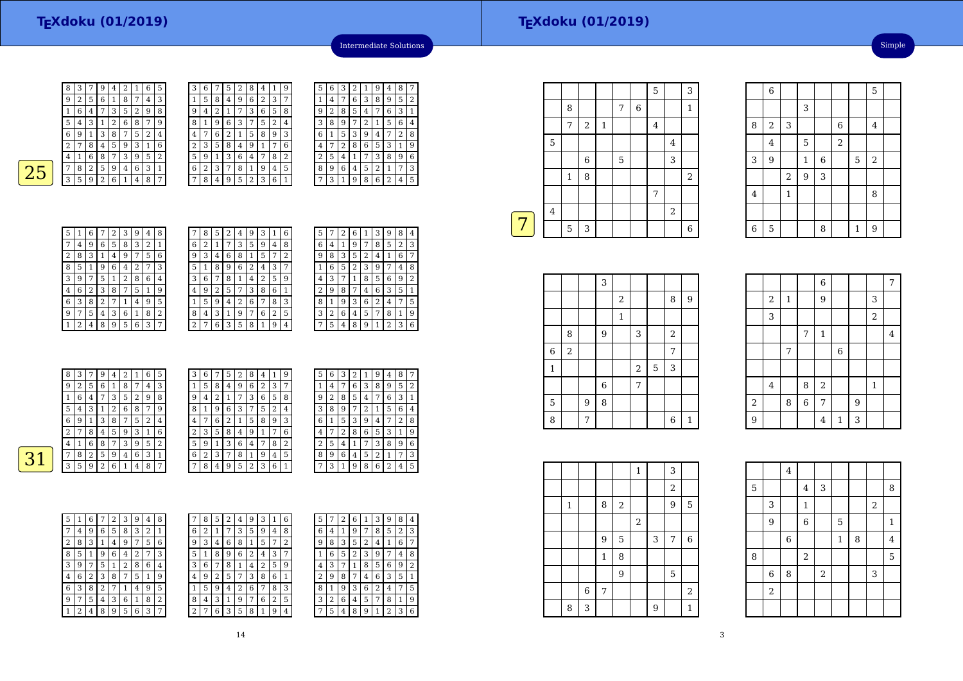8 <sup>3</sup> <sup>7</sup> <sup>9</sup> <sup>4</sup> <sup>2</sup> <sup>1</sup> <sup>6</sup> <sup>5</sup>  $\frac{9}{2}$  $561874$  $\frac{1}{6}$ 4 7 3 5 2 9<br>3 1 2 6 8 7  $\frac{5}{1}$  <sup>3</sup> <sup>1</sup> <sup>2</sup> <sup>6</sup> <sup>8</sup> <sup>7</sup> <sup>9</sup>  $\frac{6}{9}$  1 <sup>3</sup> <sup>8</sup> <sup>7</sup> <sup>5</sup> <sup>2</sup> <sup>4</sup>  $\frac{1}{2}$ 8 4 5 9 3 1 4 <sup>1</sup> <sup>6</sup> <sup>8</sup> <sup>7</sup> <sup>3</sup> <sup>9</sup> <sup>5</sup> <sup>2</sup>  $25 \frac{782594631}{2582521}$ 3 5 9 2 6 1 4 8

| 5              | 3 | 6 |   | 5 | $\overline{2}$ | 8              | 4              | 1 | 9              |
|----------------|---|---|---|---|----------------|----------------|----------------|---|----------------|
| 3              |   | 5 | 8 | 4 | 9              | 6              | $\overline{2}$ | 3 | 7              |
| 8              | 9 | 4 | 2 | 1 | 7              | 3              | 6              | 5 | 8              |
| $\overline{9}$ | 8 | 1 | 9 | 6 | 3              |                | 5              | 2 | 4              |
| 4              | 4 |   | 6 | 2 | 1              | 5              | 8              | 9 | 3              |
| 6              | 2 | 3 | 5 | 8 | 4              | 9              | 1              | 7 | 6              |
| $\overline{2}$ | 5 | 9 | 1 | 3 | 6              | 4              |                | 8 | $\overline{2}$ |
| 1              | 6 | 2 | 3 | 7 | 8              | 1              | 9              | 4 | 5              |
| 7              |   | 8 | 4 | g | 5              | $\overline{2}$ | 3              | 6 | 1              |
|                |   |   |   |   |                |                |                |   |                |

|  | 5 | 6 | 3 | 2 | 1 | 9 | 4 | 8 | 7 |
|--|---|---|---|---|---|---|---|---|---|
|  | 1 | 4 | 7 | 6 | 3 | 8 | 9 | 5 | 2 |
|  | 9 | 2 | 8 | 5 | 4 | 7 | 6 | 3 | 1 |
|  | 3 | 8 | 9 | 7 | 2 | 1 | 5 | 6 | 4 |
|  | 6 | 1 | 5 | 3 | 9 | 4 | 7 | 2 | 8 |
|  | 4 | 7 | 2 | 8 | 6 | 5 | 3 | 1 | 9 |
|  | 2 | 5 | 4 | 1 | 7 | 3 | 8 | 9 | 6 |
|  | 8 | 9 | 6 | 4 | 5 | 2 | 1 | 7 | 3 |
|  | 7 | 3 | 1 | 9 | 8 | 6 | 2 | 4 | 5 |
|  |   |   |   |   |   |   |   |   |   |

Intermediate Solutions

| 5 | 1 | 6 | 7 | 2 | 3 | 9 | 4              | 8 |
|---|---|---|---|---|---|---|----------------|---|
| 7 | 4 | 9 | 6 | 5 | 8 | 3 | $\overline{2}$ | 1 |
| 2 | 8 | 3 | 1 | 4 | 9 | 7 | 5              | 6 |
| 8 | 5 | 1 | 9 | 6 | 4 | 2 | 7              | 3 |
| 3 | 9 | 7 | 5 | 1 | 2 | 8 | 6              | 4 |
| 4 | 6 | 2 | 3 | 8 | 7 | 5 | 1              | 9 |
| 6 | 3 | 8 | 2 | 7 | 1 | 4 | 9              | 5 |
| 9 | 7 | 5 | 4 | 3 | 6 | 1 | 8              | 2 |
|   | 2 | 4 | 8 | 9 | 5 | 6 | 3              | 7 |

| 7 | 8 | 5              | 2 | 4 | 9 | 3 |   | 6 |
|---|---|----------------|---|---|---|---|---|---|
| 6 | 2 |                | 7 | 3 | 5 | 9 | 4 | 8 |
| 9 | 3 | 4              | 6 | 8 |   | 5 |   | 2 |
| 5 | 1 | 8              | 9 | 6 | 2 | 4 | 3 |   |
| 3 | 6 |                | 8 | 1 | 4 | 2 | 5 | 9 |
| 4 | 9 | $\overline{2}$ | 5 | 7 | 3 | 8 | 6 | 1 |
| 1 | 5 | 9              | 4 | 2 | 6 |   | 8 | 3 |
| 8 | 4 | 3              | 1 | 9 | 7 | 6 | 2 | 5 |
| 2 | 7 | 6              | 3 | 5 | 8 |   | 9 | 4 |

| 5 |   | 2 | 6              | 1 | 3 | 9              | 8 | 4 |
|---|---|---|----------------|---|---|----------------|---|---|
| 6 | 4 | 1 | 9              | 7 | 8 | 5              | 2 | 3 |
| 9 | 8 | 3 | 5              | 2 | 4 | 1              | 6 | 7 |
| 1 | 6 | 5 | $\overline{2}$ | 3 | g | 7              | 4 | 8 |
| 4 | 3 | 7 | 1              | 8 | 5 | 6              | 9 | 2 |
| 2 | 9 | 8 | 7              | 4 | 6 | 3              | 5 | 1 |
| 8 | 1 | 9 | 3              | 6 | 2 | 4              | 7 | 5 |
| 3 | 2 | 6 | 4              | 5 | 7 | 8              | 1 | 9 |
|   | 5 | 4 | 8              | 9 | 1 | $\overline{c}$ | 3 | 6 |
|   |   |   |                |   |   |                |   |   |

|     | 8              | 3 | 7 | 9 | $\overline{4}$ | 2 |   | 6              | 5              | 3              | 6 | 7 | 5 | 2 | 8 | 4  |                | 9              | 5 | 6              | 3            | 2              | 1 | 9 | 4       | 8              | 7              |
|-----|----------------|---|---|---|----------------|---|---|----------------|----------------|----------------|---|---|---|---|---|----|----------------|----------------|---|----------------|--------------|----------------|---|---|---------|----------------|----------------|
|     | 9              | 2 | 5 | 6 |                | 8 | 7 | $\overline{4}$ | 3              |                | 5 | 8 | 4 | 9 | 6 | 2  | 3              | 7              |   | 4              | ⇁            | 6              | 3 | 8 | 9       | 5              | 2              |
|     |                | 6 | 4 | 7 | 3              | 5 | 2 | 9              | 8              | 9              | 4 | 2 | 1 | ⇁ | 3 | 6  | 5              | 8              | 9 | $\overline{2}$ | 8            | 5              | 4 | ⇁ | 6       | 3              |                |
|     | 5              | 4 | 3 |   | 2              | 6 | 8 | 7              | 9              | 8              |   | 9 | 6 | 3 | 7 | 5. | 2              | $\overline{4}$ | 3 | 8              | 9            | 7              | 2 | 1 | 5       | 6              | $\overline{4}$ |
|     | 6              | 9 |   | 3 | 8              | 7 | 5 | 2              | $\overline{4}$ | 4              | 7 | 6 | 2 |   | 5 | 8' | 9              | 3              | 6 |                | 5            | 3              | 9 | 4 | 7       | $\overline{2}$ | 8              |
|     | 2              | 7 | 8 | 4 | 5              | 9 | 3 |                | 6              | $\overline{2}$ | 3 | 5 | 8 | 4 | 9 |    | $\mathbf{r}$   | 6              | 4 | $\overline{ }$ | 2            | 8              | 6 | 5 | 3       |                | 9              |
|     | 4              |   | 6 | 8 | 7              | З | 9 | 5              | 2              | 5              | 9 |   | 3 | 6 | 4 | 7  | 8              | 2              | ∍ | 5.             | 4            |                | 7 | З | 8       | 91             | 6              |
| 1 ? | $\overline{7}$ | 8 | 2 | 5 | 9              | 4 | 6 | 3              |                | 6              | 2 | 3 | 7 | 8 |   | 9  | $\overline{4}$ | 5              | 8 | 9              | 6            | $\overline{4}$ | 5 | ∍ |         | 7              | 3              |
|     | 3              | 5 | 9 | 2 | 6              |   | 4 | 8              | $\overline{7}$ | $\overline{ }$ | 8 | 4 | 9 | 5 | ∍ | 3  | 6              | 1.             | 7 | 3              | $\mathbf{1}$ | 9              | 8 | 6 | ∍<br>z. | 4              | 5              |
|     |                |   |   |   |                |   |   |                |                |                |   |   |   |   |   |    |                |                |   |                |              |                |   |   |         |                |                |

| 7<br>5<br>6<br>2<br>9<br>8<br>3<br>4<br>6<br>8<br>3<br>5<br>9<br>2<br>4<br>7 | 6<br>9         | 2<br>3 | 4 |   | 3 | 5 | 9 |
|------------------------------------------------------------------------------|----------------|--------|---|---|---|---|---|
|                                                                              |                |        |   |   |   |   |   |
|                                                                              |                |        |   | 6 | 8 |   | 5 |
| 6<br>3<br>8<br>5<br>5<br>2<br>4<br>7<br>9<br>1                               |                |        | 8 | 9 | 6 | 2 | 4 |
| 3<br>6<br>7<br>5<br>2<br>9<br>8<br>4<br>1                                    | 3              | 6      | 7 | 8 |   | 4 | 2 |
| 6<br>2<br>4<br>3<br>8<br>9<br>7<br>5                                         | 4              | 9      | 2 | 5 | 7 | 3 | 8 |
| 6<br>5<br>3<br>8<br>9<br>2<br>7<br>1<br>4                                    |                | 5      | 9 | 4 | 2 | 6 | 7 |
| 2<br>9<br>5<br>3<br>6<br>7<br>8<br>4<br>1                                    | 8              | 4      | 3 |   | 9 | 7 | 6 |
| 5<br>2<br>$\overline{4}$<br>9<br>3<br>8<br>6<br>7<br>1                       | $\overline{2}$ |        | 6 | 3 | 5 | 8 |   |

| 7            | 8 | 5 | 2 | 4              | 9 | З | 1 | 6 | 5              |   | ∠ | h | ı | 3              | 9              | 8 | 4            |
|--------------|---|---|---|----------------|---|---|---|---|----------------|---|---|---|---|----------------|----------------|---|--------------|
| 6            | 2 | 1 | 7 | 3              | 5 | 9 | 4 | 8 | 6              | 4 |   | 9 | 7 | 8              | 5              | 2 | 3            |
| 9            | 3 | 4 | 6 | 8              | 1 | 5 | 7 | 2 | 9              | 8 | 3 | 5 | 2 | 4              | 1              | 6 | 7            |
| 5            | 1 | 8 | 9 | 6              | 2 | 4 | 3 | 7 |                | 6 | 5 | 2 | 3 | 9              |                | 4 | 8            |
| 3            | 6 | 7 | 8 | 1              | 4 | 2 | 5 | 9 | 4              | 3 |   | 1 | 8 | 5              | 6              | 9 | 2            |
| 4            | 9 | 2 | 5 | 7              | 3 | 8 | 6 | 1 | $\overline{2}$ | 9 | 8 |   | 4 | 6              | 3              | 5 | $\mathbf{1}$ |
| $\mathbf{1}$ | 5 | 9 | 4 | $\overline{2}$ | 6 |   | 8 | 3 | 8              |   | 9 | 3 | 6 | $\overline{2}$ | 4              | 7 | 5            |
| 8            | 4 | 3 | 1 | 9              | 7 | 6 | 2 | 5 | 3              | 2 | 6 | 4 | 5 | 7              | 8              | 1 | 9            |
| 2            | 7 | 6 | 3 | 5              | 8 | 1 | 9 | 4 | 7              | 5 | 4 | 8 | 9 | 1              | $\overline{2}$ | 3 | 6            |
|              |   |   |   |                |   |   |   |   |                |   |   |   |   |                |                |   |              |

|   |                         | 8              |            |              | 7 | $\overline{6}$ |                |                  | $\mathbf{1}$   |
|---|-------------------------|----------------|------------|--------------|---|----------------|----------------|------------------|----------------|
|   |                         | 7              | $\sqrt{2}$ | $\mathbf{1}$ |   |                | $\overline{4}$ |                  |                |
|   | 5                       |                |            |              |   |                |                | 4                |                |
|   |                         |                | 6          |              | 5 |                |                | 3                |                |
|   |                         | $\mathbf{1}$   | 8          |              |   |                |                |                  | $\overline{c}$ |
|   |                         |                |            |              |   |                | 7              |                  |                |
|   | $\overline{\mathbf{4}}$ |                |            |              |   |                |                | $\boldsymbol{2}$ |                |
| 7 |                         | $\overline{5}$ | 3          |              |   |                |                |                  | 6              |
|   |                         |                |            |              |   |                |                |                  |                |

5

 $\mathcal{L}$ 

<sup>3</sup>

|       |              |            |   | 3              |              |       |             |                |              |
|-------|--------------|------------|---|----------------|--------------|-------|-------------|----------------|--------------|
|       |              |            |   |                | $\,2$        |       |             | 8              | 9            |
|       |              |            |   |                | $\mathbf{1}$ |       |             |                |              |
|       |              | 8          |   | 9              |              | 3     |             | $\overline{2}$ |              |
| $\,6$ |              | $\sqrt{2}$ |   |                |              |       |             | 7              |              |
|       | $\mathbf{1}$ |            |   |                |              | $\,2$ | $\mathbf 5$ | 3              |              |
|       |              |            |   | $\overline{6}$ |              | 7     |             |                |              |
| 5     |              |            | 9 | 8              |              |       |             |                |              |
|       | 8            |            | 7 |                |              |       |             | 6              | $\mathbf{1}$ |

|                  | ∠                       | T |                | ັ              |                |   | J              |                |
|------------------|-------------------------|---|----------------|----------------|----------------|---|----------------|----------------|
|                  | 3                       |   |                |                |                |   | $\overline{a}$ |                |
|                  |                         |   | 7              | $\mathbf{1}$   |                |   |                | $\overline{4}$ |
|                  |                         | 7 |                |                | $\overline{6}$ |   |                |                |
|                  |                         |   |                |                |                |   |                |                |
|                  | $\overline{\mathbf{4}}$ |   | 8              | $\,2$          |                |   | 1              |                |
| $\,2$            |                         | 8 | $\overline{6}$ | 7              |                | 9 |                |                |
| $\boldsymbol{9}$ |                         |   |                | $\overline{4}$ | $\mathbf{1}$   | 3 |                |                |
|                  |                         |   |                |                |                |   |                |                |

|  |   |             |              |                | $\mathbf{1}$     |   | 3     |            |  |
|--|---|-------------|--------------|----------------|------------------|---|-------|------------|--|
|  |   |             |              |                |                  |   | $\,2$ |            |  |
|  | 1 |             | 8            | $\overline{2}$ |                  |   | 9     | 5          |  |
|  |   |             |              |                | $\boldsymbol{2}$ |   |       |            |  |
|  |   |             | 9            | 5              |                  | 3 | 7     | 6          |  |
|  |   |             | $\mathbf{1}$ | 8              |                  |   |       |            |  |
|  |   |             |              | 9              |                  |   | 5     |            |  |
|  |   | $\,$ 6 $\,$ | 7            |                |                  |   |       | $\sqrt{2}$ |  |
|  | 8 | 3           |              |                |                  | 9 |       | 1          |  |

|                | 6              |                |              |             |                |              | 5              |  |
|----------------|----------------|----------------|--------------|-------------|----------------|--------------|----------------|--|
|                |                |                | 3            |             |                |              |                |  |
| 8              | $\overline{c}$ | 3              |              |             | $\overline{6}$ |              | 4              |  |
|                | $\overline{4}$ |                | 5            |             | $\overline{2}$ |              |                |  |
| 3              | 9              |                | $\mathbf{1}$ | $\,$ 6 $\,$ |                | 5            | $\overline{c}$ |  |
|                |                | $\overline{a}$ | 9            | 3           |                |              |                |  |
| $\bf 4$        |                | $\mathbf{1}$   |              |             |                |              | 8              |  |
|                |                |                |              |             |                |              |                |  |
| $\overline{6}$ | 5              |                |              | 8           |                | $\mathbf{1}$ | 9              |  |

|                         |                         |             |                | 6              |             |   |                | 7       |  |
|-------------------------|-------------------------|-------------|----------------|----------------|-------------|---|----------------|---------|--|
|                         | $\overline{\mathbf{c}}$ | $\mathbf 1$ |                | 9              |             |   | 3              |         |  |
|                         | 3                       |             |                |                |             |   | $\overline{a}$ |         |  |
|                         |                         |             | 7              | $\,1\,$        |             |   |                | $\bf 4$ |  |
|                         |                         | 7           |                |                | $\,$ 6 $\,$ |   |                |         |  |
|                         |                         |             |                |                |             |   |                |         |  |
|                         | $\bf 4$                 |             | 8              | $\,2$          |             |   | $\mathbf{1}$   |         |  |
| $\overline{\mathbf{c}}$ |                         | 8           | $\overline{6}$ | 7              |             | 9 |                |         |  |
| $\overline{9}$          |                         |             |                | $\overline{4}$ | $\mathbf 1$ | 3 |                |         |  |
|                         |                         |             |                |                |             |   |                |         |  |
|                         |                         |             |                |                |             |   |                |         |  |

|   |                | $\bf 4$     |                |       |              |   |                         |                |
|---|----------------|-------------|----------------|-------|--------------|---|-------------------------|----------------|
| 5 |                |             | $\overline{4}$ | 3     |              |   |                         | 8              |
|   | 3              |             | $\mathbf{1}$   |       |              |   | $\overline{\mathbf{c}}$ |                |
|   | 9              |             | $\overline{6}$ |       | 5            |   |                         | $\mathbf{1}$   |
|   |                | $\,$ 6 $\,$ |                |       | $\mathbf{1}$ | 8 |                         | $\overline{4}$ |
| 8 |                |             | $\overline{c}$ |       |              |   |                         | 5              |
|   | $\overline{6}$ | 8           |                | $\,2$ |              |   | 3                       |                |
|   | $\,2$          |             |                |       |              |   |                         |                |
|   |                |             |                |       |              |   |                         |                |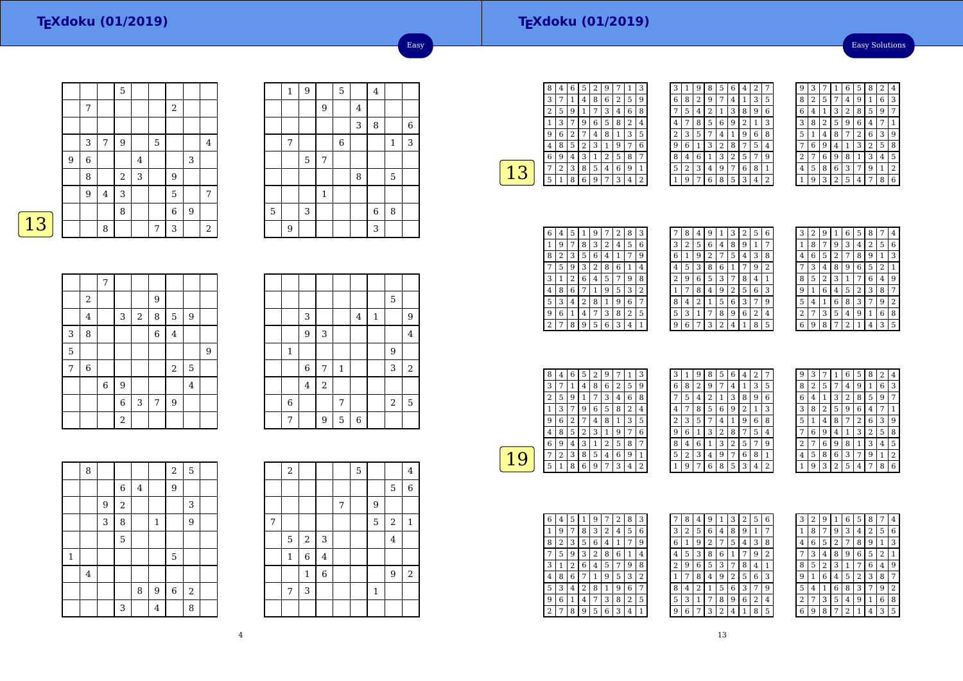# **TEXdoku (01/2019)**

Easy Solutions

|   |   |   |         | 5     |   |   |                |   |                |
|---|---|---|---------|-------|---|---|----------------|---|----------------|
|   |   | 7 |         |       |   |   | $\overline{2}$ |   |                |
|   |   |   |         |       |   |   |                |   |                |
|   |   | 3 | 7       | 9     |   | 5 |                |   | 4              |
|   | 9 | 6 |         |       | 4 |   |                | 3 |                |
|   |   | 8 |         | $\,2$ | 3 |   | $9\,$          |   |                |
|   |   | 9 | $\bf 4$ | 3     |   |   | 5              |   | 7              |
|   |   |   |         | 8     |   |   | $\,$ 6 $\,$    | 9 |                |
| 3 |   |   | 8       |       |   | 7 | 3              |   | $\overline{2}$ |

|             | $\mathbf 1$ | 9 |             | 5     |                         | $\overline{4}$ |         |       |
|-------------|-------------|---|-------------|-------|-------------------------|----------------|---------|-------|
|             |             |   | 9           |       | $\overline{\mathbf{4}}$ |                |         |       |
|             |             |   |             |       | 3                       | 8              |         | $\,6$ |
|             | 7           |   |             | $\,6$ |                         |                | $\,1\,$ | 3     |
|             |             | 5 | 7           |       |                         |                |         |       |
|             |             |   |             |       | 8                       |                | 5       |       |
|             |             |   | $\mathbf 1$ |       |                         |                |         |       |
| $\mathbf 5$ |             | 3 |             |       |                         | $\,$ 6 $\,$    | 8       |       |
|             | 9           |   |             |       |                         | 3              |         |       |

Easy

|--|

|   |                         | 7           |                |            |                |                |                |   |
|---|-------------------------|-------------|----------------|------------|----------------|----------------|----------------|---|
|   | 2                       |             |                |            | 9              |                |                |   |
|   | $\overline{\mathbf{4}}$ |             | 3              | $\sqrt{2}$ | 8              | 5              | 9              |   |
| 3 | 8                       |             |                |            | $\overline{6}$ | $\overline{4}$ |                |   |
| 5 |                         |             |                |            |                |                |                | 9 |
| 7 | $\,6$                   |             |                |            |                | $\sqrt{2}$     | 5              |   |
|   |                         | $\,$ 6 $\,$ | $\overline{9}$ |            |                |                | $\overline{4}$ |   |
|   |                         |             | $\overline{6}$ | 3          | $\overline{7}$ | 9              |                |   |
|   |                         |             | $\sqrt{2}$     |            |                |                |                |   |

|              |                |                |              |                |              | 5          |                |
|--------------|----------------|----------------|--------------|----------------|--------------|------------|----------------|
|              | 3              |                |              | $\overline{4}$ | $\mathbf{1}$ |            | 9              |
|              | 9              | 3              |              |                |              |            | $\overline{4}$ |
| $\mathbf{1}$ |                |                |              |                |              | 9          |                |
|              | 6              | $\overline{7}$ | $\mathbf{1}$ |                |              | 3          | $\sqrt{2}$     |
|              | $\overline{4}$ | $\overline{a}$ |              |                |              |            |                |
| $\,6$        |                |                | 7            |                |              | $\sqrt{2}$ | 5              |
| 7            |                | 9              | 5            | $\overline{6}$ |              |            |                |

|         | 8                       |   |                         |   |                | $\overline{a}$ | 5     |  |
|---------|-------------------------|---|-------------------------|---|----------------|----------------|-------|--|
|         |                         |   | $\,6$                   | 4 |                | 9              |       |  |
|         |                         | 9 | $\overline{\mathbf{c}}$ |   |                |                | 3     |  |
|         |                         | 3 | 8                       |   | $\mathbf{1}$   |                | 9     |  |
|         |                         |   | 5                       |   |                |                |       |  |
| $\,1\,$ |                         |   |                         |   |                | $\mathbf 5$    |       |  |
|         | $\overline{\mathbf{4}}$ |   |                         |   |                |                |       |  |
|         |                         |   |                         | 8 | $\overline{9}$ | $\,$ 6 $\,$    | $\,2$ |  |
|         |                         |   | 3                       |   | $\overline{4}$ |                | 8     |  |

|   | 2            |              |                           |   | 5 |                |                         | 4              |
|---|--------------|--------------|---------------------------|---|---|----------------|-------------------------|----------------|
|   |              |              |                           |   |   |                | 5                       | 6              |
|   |              |              |                           | 7 |   | 9              |                         |                |
| 7 |              |              |                           |   |   | $\overline{5}$ | $\sqrt{2}$              | $\mathbf 1$    |
|   | 5            | $\,2$        | $\ensuremath{\mathsf{3}}$ |   |   |                | $\overline{\mathbf{4}}$ |                |
|   | $\mathbf{1}$ | 6            | 4                         |   |   |                |                         |                |
|   |              | $\mathbf{1}$ | $\overline{6}$            |   |   |                | 9                       | $\overline{a}$ |
|   | 7            | 3            |                           |   |   | $\mathbf 1$    |                         |                |
|   |              |              |                           |   |   |                |                         |                |

| 8 | 4 | 6 | 5                       | 2 | 9 |   | 1              | З            |
|---|---|---|-------------------------|---|---|---|----------------|--------------|
| 3 |   | 1 | 4                       | 8 | 6 | 2 | 5              | g            |
| 2 | 5 | 9 | 1                       | 7 | 3 | 4 | 6              | 8            |
| 1 | 3 | 7 | 9                       | 6 | 5 | 8 | $\overline{2}$ | 4            |
| g | 6 | 2 | 7                       | 4 | 8 | 1 | 3              | 5            |
| 4 | 8 | 5 | $\overline{\mathbf{c}}$ | 3 | 1 | 9 | 7              | 6            |
| 6 | 9 | 4 | 3                       | 1 | 2 | 5 | 8              | 7            |
|   | 2 | 3 | 8                       | 5 | 4 | 6 | 9              | $\mathbf{1}$ |
| 5 | 1 | 8 | 6                       | 9 | 7 | 3 | 4              | 2            |
|   |   |   |                         |   |   |   |                |              |

| 3 | 1 | 9 | 8              | 5              | 6              | 4 | $\overline{c}$ | 7 |
|---|---|---|----------------|----------------|----------------|---|----------------|---|
| 6 | 8 | 2 | 9              | 7              | 4              | 1 | 3              | 5 |
| 7 | 5 | 4 | $\overline{2}$ | 1              | 3              | 8 | 9              | 6 |
| 4 | 7 | 8 | 5              | 6              | 9              | 2 | 1              | 3 |
| 2 | 3 | 5 | 7              | 4              | 1              | 9 | 6              | 8 |
| 9 | 6 | 1 | 3              | $\overline{c}$ | 8              |   | 5              | 4 |
| 8 | 4 | 6 | 1              | 3              | $\overline{2}$ | 5 | 7              | 9 |
| 5 | 2 | 3 | 4              | 9              | 7              | 6 | 8              | 1 |
|   | 9 | 7 | 6              | 8              | 5              | 3 | 4              | 2 |

| ç | 3 |   |   | 6 | 5 | 8              | $\overline{2}$ | 4 |
|---|---|---|---|---|---|----------------|----------------|---|
| 8 | 2 | 5 | 7 | 4 | 9 | 1              | 6              | 3 |
| 6 | 4 | 1 | 3 | 2 | 8 | 5              | 9              | 7 |
| 3 | 8 | 2 | 5 | 9 | 6 | 4              | 7              | 1 |
| 5 | 1 | 4 | 8 | 7 | 2 | 6              | 3              | 9 |
|   | 6 | 9 | 4 | 1 | 3 | $\overline{c}$ | 5              | 8 |
| 2 | 7 | 6 | 9 | 8 | 1 | 3              | 4              | 5 |
| 4 | 5 | 8 | 6 | 3 | 7 | 9              | 1              | 2 |
|   | g | 3 | 2 | 5 | 4 | 7              | 8              | 6 |

| 6 | 4 | 5 | 1 | 9 | 7 | 2 | 8 | З |
|---|---|---|---|---|---|---|---|---|
| 1 | 9 | 7 | 8 | 3 | 2 | 4 | 5 | 6 |
| 8 | 2 | 3 | 5 | 6 | 4 |   | 7 | 9 |
|   | 5 | 9 | 3 | 2 | 8 | 6 | 1 | 4 |
| 3 | 1 | 2 | 6 | 4 | 5 |   | 9 | 8 |
| 4 | 8 | 6 | 7 | 1 | 9 | 5 | 3 | 2 |
| 5 | 3 | 4 | 2 | 8 | 1 | 9 | 6 | 7 |
| 9 | 6 | 1 | 4 | 7 | 3 | 8 | 2 | 5 |
|   | 7 | 8 | 9 | 5 | 6 | 3 | 4 |   |

| 7 | 8 | 4 | 9              | 1 | 3 | 2 | 5 | 6 |
|---|---|---|----------------|---|---|---|---|---|
| 3 | 2 | 5 | 6              | 4 | 8 | 9 | 1 | 7 |
| 6 | 1 | 9 | $\overline{c}$ | 7 | 5 | 4 | 3 | 8 |
| 4 | 5 | 3 | 8              | 6 | 1 | 7 | 9 | 2 |
| 2 | 9 | 6 | 5              | 3 | 7 | 8 | 4 | 1 |
| 1 | 7 | 8 | 4              | 9 | 2 | 5 | 6 | 3 |
| 8 | 4 | 2 | 1              | 5 | 6 | 3 | 7 | 9 |
| 5 | 3 | 1 | 7              | 8 | 9 | 6 | 2 | 4 |
| 9 | 6 | 7 | 3              | 2 | 4 | 1 | 8 | 5 |
|   |   |   |                |   |   |   |   |   |

| З | 2 | g |                         | 6 | 5 | 8 |                | 4 |
|---|---|---|-------------------------|---|---|---|----------------|---|
| 1 | 8 | 7 | 9                       | 3 | 4 | 2 | 5              | 6 |
| 4 | 6 | 5 | $\overline{\mathbf{c}}$ | 7 | 8 | 9 | 1              | 3 |
|   | 3 | 4 | 8                       | 9 | 6 | 5 | $\overline{2}$ | 1 |
| 8 | 5 | 2 | 3                       | 1 | 7 | 6 | 4              | 9 |
| 9 | 1 | 6 | 4                       | 5 | 2 | 3 | 8              | 7 |
| 5 | 4 | 1 | 6                       | 8 | 3 | 7 | 9              | 2 |
| 2 | 7 | 3 | 5                       | 4 | 9 | 1 | 6              | 8 |
| հ | q | 8 |                         | 2 | 1 | 4 | 3              | 5 |

| 8 | 4 | 6 | 5 | $\overline{2}$ | 9 |   | 1 | 3 |  |
|---|---|---|---|----------------|---|---|---|---|--|
| 3 | 7 | 1 | 4 | 8              | 6 | 2 | 5 | 9 |  |
| 2 | 5 | 9 | 1 | 7              | 3 | 4 | 6 | 8 |  |
|   | 3 | 7 | 9 | 6              | 5 | 8 | 2 | 4 |  |
| 9 | 6 | 2 | 7 | 4              | 8 | 1 | 3 | 5 |  |
| 4 | 8 | 5 | 2 | 3              | 1 | 9 | 7 | 6 |  |
| 6 | 9 | 4 | 3 | 1              | 2 | 5 | 8 |   |  |
|   | 2 | 3 | 8 | 5              | 4 | 6 | 9 | 1 |  |
| 5 | 1 | 8 | 6 | 9              | 7 | 3 | 4 | 2 |  |
|   |   |   |   |                |   |   |   |   |  |

| 3 | 1 | 9 | 8              | 5            | 6            | 4              | 2 |   |  |
|---|---|---|----------------|--------------|--------------|----------------|---|---|--|
| 6 | 8 | 2 | 9              | 7            | 4            | 1              | 3 | 5 |  |
|   | 5 | 4 | $\overline{2}$ | $\mathbf{1}$ | 3            | 8              | 9 | 6 |  |
| 4 | 7 | 8 | 5              | 6            | 9            | $\overline{2}$ | 1 | 3 |  |
| 2 | 3 | 5 | 7              | 4            | $\mathbf{1}$ | 9              | 6 | 8 |  |
| 9 | 6 | 1 | 3              | 2            | 8            | 7              | 5 | 4 |  |
| 8 | 4 | 6 | 1              | 3            | 2            | 5              | 7 | 9 |  |
| 5 | 2 | 3 | 4              | 9            | 7            | 6              | 8 | 1 |  |
|   | 9 | 7 | 6              | 8            | 5            | 3              | 4 | 2 |  |

| 9              | 3 |   | 1              | 6              | 5              | 8              | $\overline{2}$ | 4              |
|----------------|---|---|----------------|----------------|----------------|----------------|----------------|----------------|
| 8              | 2 | 5 | 7              | 4              | 9              | 1              | 6              | 3              |
| 6              | 4 | 1 | 3              | $\overline{2}$ | 8              | 5              | 9              | 7              |
| 3              | 8 | 2 | 5              | 9              | 6              | 4              |                | 1              |
| 5              | 1 | 4 | 8              | 7              | $\overline{2}$ | 6              | 3              | 9              |
| 7              | 6 | 9 | 4              | 1              | 3              | $\overline{2}$ | 5              | 8              |
| $\overline{c}$ | 7 | 6 | 9              | 8              | 1              | 3              | 4              | 5              |
| 4              | 5 | 8 | 6              | 3              | 7              | 9              | 1              | $\overline{2}$ |
| 1              | 9 | 3 | $\overline{c}$ | 5              | 4              | 7              | 8              | 6              |

| 6 | 4 | 5 |   | g              |   | 2 | 8 | 3 |  |
|---|---|---|---|----------------|---|---|---|---|--|
|   | 9 | 7 | 8 | 3              | 2 | 4 | 5 | 6 |  |
| 8 | 2 | 3 | 5 | 6              | 4 | 1 |   | 9 |  |
|   | 5 | 9 | 3 | $\overline{2}$ | 8 | 6 | 1 | 4 |  |
| 3 | 1 | 2 | 6 | 4              | 5 | 7 | 9 | 8 |  |
| 4 | 8 | 6 | 7 | 1              | 9 | 5 | 3 | 2 |  |
| 5 | 3 | 4 | 2 | 8              | 1 | 9 | 6 | 7 |  |
| 9 | 6 | 1 | 4 | 7              | 3 | 8 | 2 | 5 |  |
| 2 |   | 8 | 9 | 5              | 6 | 3 | 4 | 1 |  |

|                | 8              | 4 | 9 | 1 | 3 | $\overline{2}$ | 5              | 6 |
|----------------|----------------|---|---|---|---|----------------|----------------|---|
| 3              | $\overline{2}$ | 5 | 6 | 4 | 8 | 9              | 1              | 7 |
| 6              | 1              | 9 | 2 | 7 | 5 | 4              | 3              | 8 |
| 4              | 5              | 3 | 8 | 6 | 1 | 7              | 9              | 2 |
| $\overline{2}$ | 9              | 6 | 5 | 3 | 7 | 8              | 4              | 1 |
| 1              | 7              | 8 | 4 | 9 | 2 | 5              | 6              | 3 |
| 8              | 4              | 2 | 1 | 5 | 6 | 3              | 7              | 9 |
| 5              | 3              | 1 | 7 | 8 | 9 | 6              | $\overline{2}$ | 4 |
| 9              | 6              | 7 | 3 | 2 | 4 | 1              | 8              | 5 |

| 3              | 2 | 9 | 1 | 6              | 5 | 8 | 7              | 4 |
|----------------|---|---|---|----------------|---|---|----------------|---|
| 1              | 8 | 7 | 9 | 3              | 4 | 2 | 5              | 6 |
| 4              | 6 | 5 | 2 | 7              | 8 | 9 | 1              | 3 |
| 7              | 3 | 4 | 8 | 9              | 6 | 5 | $\overline{2}$ | 1 |
| 8              | 5 | 2 | 3 | 1              | 7 | 6 | 4              | 9 |
| 9              | 1 | 6 | 4 | 5              | 2 | 3 | 8              | 7 |
| 5              | 4 | 1 | 6 | 8              | 3 | 7 | 9              | 2 |
| $\overline{c}$ | 7 | 3 | 5 | 4              | 9 | 1 | 6              | 8 |
| 6              | 9 | 8 | 7 | $\overline{c}$ | 1 | 4 | 3              | 5 |
|                |   |   |   |                |   |   |                |   |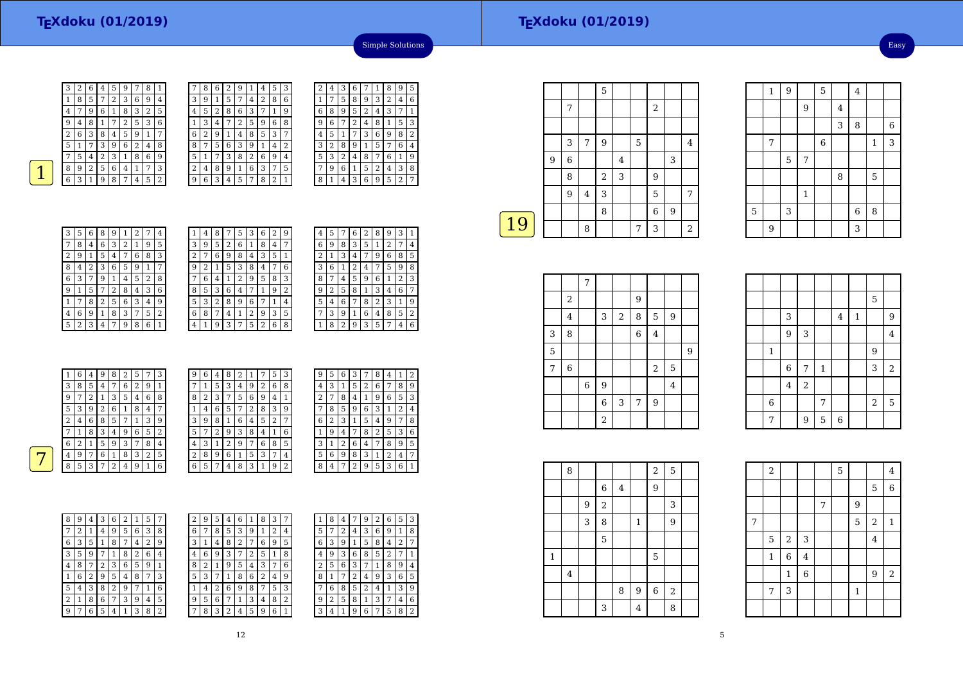Easy

 $3 \mid 8 \mid 6$ 

<sup>5</sup>



7

 $\frac{1}{3}$ 

 $\overline{4}$  7

| 3 | 2 | 6              | 4 | 5 | 9 |   | 8 |   |                | 8 | 6 | 2 | 9 |   | 4 | 5              | 3 |
|---|---|----------------|---|---|---|---|---|---|----------------|---|---|---|---|---|---|----------------|---|
| 1 | 8 | 5              | 7 | 2 | 3 | 6 | 9 | 4 | 3              | 9 | 1 | 5 | 7 | 4 | 2 | 8              | 6 |
| 4 | 7 | 9              | 6 | 1 | 8 | 3 | 2 | 5 | 4              | 5 | 2 | 8 | 6 | 3 | 7 | 1              | 9 |
| 9 | 4 | 8              |   | 7 | 2 | 5 | 3 | 6 |                | 3 | 4 |   | 2 | 5 | 9 | 6              | 8 |
| 2 | 6 | 3              | 8 | 4 | 5 | 9 | 1 | 7 | 6              | 2 | 9 | 1 | 4 | 8 | 5 | 3              | 7 |
| 5 | 1 | 7              | 3 | 9 | 6 | 2 | 4 | 8 | 8              | 7 | 5 | 6 | 3 | 9 | 1 | 4              | 2 |
| 7 | 5 | 4              | 2 | 3 | 1 | 8 | 6 | 9 | 5              |   |   | 3 | 8 | 2 | 6 | 9              | 4 |
| 8 | 9 | $\overline{2}$ | 5 | 6 | 4 | 1 | 7 | 3 | $\overline{2}$ | 4 | 8 | 9 | 1 | 6 | 3 | 7              | 5 |
| 6 | 3 | 1              | 9 | 8 | 7 | 4 | 5 | 2 | 9              | 6 | 3 | 4 | 5 | 7 | 8 | $\overline{2}$ | 1 |
|   |   |                |   |   |   |   |   |   |                |   |   |   |   |   |   |                |   |

| 3 | 2 | 4 | З | 6              | 7 | 1 | 8 | 9 | 5 |
|---|---|---|---|----------------|---|---|---|---|---|
| 6 | 1 | 7 | 5 | 8              | 9 | 3 | 2 | 4 | 6 |
| 9 | 6 | 8 | 9 | 5              | 2 | 4 | 3 | 7 | 1 |
| 8 | 9 | 6 | 7 | $\overline{2}$ | 4 | 8 | 1 | 5 | 3 |
| 7 | 4 | 5 | 1 | 7              | 3 | 6 | 9 | 8 | 2 |
| 2 | 3 | 2 | 8 | 9              | 1 | 5 | 7 | 6 | 4 |
| 4 | 5 | 3 | 2 | 4              | 8 | 7 | 6 | 1 | 9 |
| 5 |   | 9 | 6 | 1              | 5 | 2 | 4 | 3 | 8 |
|   | 8 | 1 | 4 | 3              | 6 | 9 | 5 | 2 | 7 |
|   |   |   |   |                |   |   |   |   |   |

Simple Solutions

| 3 | 5 | 6 | 8 | 9 | 1 | $\overline{2}$ | 7 | 4              |  |
|---|---|---|---|---|---|----------------|---|----------------|--|
|   | 8 | 4 | 6 | 3 | 2 | 1              | 9 | 5              |  |
| 2 | 9 | 1 | 5 | 4 | 7 | 6              | 8 | 3              |  |
| 8 | 4 | 2 | 3 | 6 | 5 | 9              | 1 | 7              |  |
| 6 | 3 | 7 | 9 | 1 | 4 | 5              | 2 | 8              |  |
| 9 | 1 | 5 | 7 | 2 | 8 | 4              | 3 | 6              |  |
| 1 | 7 | 8 | 2 | 5 | 6 | 3              | 4 | 9              |  |
| 4 | 6 | 9 | 1 | 8 | 3 | 7              | 5 | $\overline{2}$ |  |
| 5 | 2 | 3 | 4 | 7 | 9 | 8              | 6 | $\mathbf{1}$   |  |

| 1              | 4 | 8 | 7 | 5              | 3 | 6 | 2 | 9              |
|----------------|---|---|---|----------------|---|---|---|----------------|
| 3              | 9 | 5 | 2 | 6              | 1 | 8 | 4 | 7              |
| $\overline{2}$ | 7 | 6 | 9 | 8              | 4 | 3 | 5 | 1              |
| 9              | 2 | 1 | 5 | 3              | 8 | 4 | 7 | 6              |
|                | 6 | 4 | 1 | 2              | 9 | 5 | 8 | 3              |
| 8              | 5 | 3 | 6 | $\overline{4}$ | 7 | 1 | 9 | $\overline{2}$ |
| 5              | 3 | 2 | 8 | 9              | 6 | 7 | 1 | 4              |
| 6              | 8 | 7 | 4 | 1              | 2 | 9 | 3 | 5              |
| 4              | 1 | 9 | 3 | 7              | 5 | 2 | 6 | 8              |

| 4 | 5 |                | 6              | 2 | 8 | 9 | З              |   |
|---|---|----------------|----------------|---|---|---|----------------|---|
| 6 | 9 | 8              | 3              | 5 | 1 | 2 | 7              | 4 |
| 2 | 1 | 3              | 4              | 7 | 9 | 6 | 8              | 5 |
| 3 | 6 | 1              | $\overline{c}$ | 4 | 7 | 5 | 9              | 8 |
| 8 | 7 | 4              | 5              | 9 | 6 | 1 | $\overline{2}$ | 3 |
| 9 | 2 | 5              | 8              | 1 | 3 | 4 | 6              | 7 |
| 5 | 4 | 6              | 7              | 8 | 2 | 3 | 1              | 9 |
|   | 3 | 9              | 1              | 6 | 4 | 8 | 5              | 2 |
|   | 8 | $\overline{2}$ | 9              | 3 | 5 | 7 | 4              | 6 |
|   |   |                |                |   |   |   |                |   |

| 1 | 6 | 4 | 9 | 8 | 2 | 5              | 7 | 3 | 9              | 6 | $\overline{4}$ | 8              | 2 |   | 7 | 5 | 3 | 9      | 5              | 6      | 3 |
|---|---|---|---|---|---|----------------|---|---|----------------|---|----------------|----------------|---|---|---|---|---|--------|----------------|--------|---|
| 3 | 8 | 5 | 4 | 7 | 6 | $\overline{2}$ | 9 | 1 | $\overline{7}$ | 1 | 5              | 3              | 4 | 9 | 2 | 6 | 8 | 4      | 3              |        | 5 |
| 9 | 7 | 2 |   | 3 | 5 | 4              | 6 | 8 | 8              | 2 | 3              | 7              | 5 | 6 | 9 | 4 | 1 | ∍<br>∠ | 7              | 8      | 4 |
| 5 | 3 | 9 | 2 | 6 | 1 | 8              | 4 | 7 |                | 4 | 6              | 5              | 7 | 2 | 8 | 3 | 9 | ⇁      | 8              | 5      | 9 |
| 2 | 4 | 6 | 8 | 5 | 7 | 1              | 3 | 9 | 3              | 9 | 8              | 1              | 6 | 4 | 5 | 2 | 7 | 6      | $\overline{2}$ | 3      |   |
| 7 | 1 | 8 | 3 | 4 | 9 | 6              | 5 | 2 | 5              | 7 | 2              | 9              | 3 | 8 | 4 |   | 6 |        | 9              | 4      | 7 |
| 6 | 2 |   | 5 | 9 | 3 | 7              | 8 | 4 | 4              | 3 |                | $\overline{2}$ | 9 | 7 | 6 | 8 | 5 | 3      | 1              | ∍<br>z | 6 |
| 4 | 9 | 7 | 6 |   | 8 | 3              | 2 | 5 | $\overline{2}$ | 8 | 9              | 6              |   | 5 | 3 | 7 | 4 | 5      | 6              | 9      | 8 |
| 8 | 5 | 3 | 7 | 2 | 4 | 9              |   | 6 | 6              | 5 | 7              | 4              | 8 | 3 | 1 | 9 | ി | 8      | 4              | ⇁      | 2 |
|   |   |   |   |   |   |                |   |   |                |   |                |                |   |   |   |   |   |        |                |        |   |

| 9 | 5 | 6              | 3 |              | 8 | 4 | ı | 2 |
|---|---|----------------|---|--------------|---|---|---|---|
| 4 | 3 | 1              | 5 | 2            | 6 | 7 | 8 | 9 |
| 2 | 7 | 8              | 4 | $\mathbf{1}$ | 9 | 6 | 5 | 3 |
|   | 8 | 5              | 9 | 6            | 3 | 1 | 2 | 4 |
| 6 | 2 | 3              | 1 | 5            | 4 | 9 | 7 | 8 |
|   | 9 | 4              | 7 | 8            | 2 | 5 | 3 | 6 |
| 3 | 1 | $\overline{2}$ | 6 | 4            | 7 | 8 | 9 | 5 |
| 5 | 6 | 9              | 8 | 3            | 1 | 2 | 4 | 7 |
| 8 | 4 | 7              | 2 | 9            | 5 | 3 | 6 | 1 |

| 8 | 9 | 4 | 3 | 6 | 2 | 1 | 5 | 7 | 2 | 9 | 5 |
|---|---|---|---|---|---|---|---|---|---|---|---|
| 7 | 2 | 1 | 4 | 9 | 5 | 6 | 3 | 8 | 6 | 7 | 8 |
| 6 | 3 | 5 | 1 | 8 | 7 | 4 | 2 | 9 | 3 | 1 | 4 |
| 3 | 5 | 9 | 7 | 1 | 8 | 2 | 6 | 4 | 4 | 6 | 9 |
| 4 | 8 | 7 | 2 | 3 | 6 | 5 | 9 | 1 | 8 | 2 | 1 |
| 1 | 6 | 2 | 9 | 5 | 4 | 8 | 7 | 3 | 5 | 3 | 7 |
| 5 | 4 | 3 | 8 | 2 | 9 | 7 | 1 | 6 | 1 | 4 | 2 |
| 2 | 1 | 8 | 6 | 7 | 3 | 9 | 4 | 5 | 9 | 5 | 6 |
| 9 | 7 | 6 | 5 | 4 | 1 | 3 | 8 | 2 | 7 | 8 | 3 |

| 2            | 9 | 5              | 4 | 6 |   | 8 | 3 |                | 1              | 8              | 4              |   | 9 | 2 | 6 | 5 | 3 |
|--------------|---|----------------|---|---|---|---|---|----------------|----------------|----------------|----------------|---|---|---|---|---|---|
| 6            | 7 | 8              | 5 | 3 | 9 |   | 2 | 4              | 5              | 7              | $\overline{2}$ | 4 | 3 | 6 | 9 | 1 | 8 |
| 3            | 1 | 4              | 8 | 2 | 7 | 6 | 9 | 5              | 6              | 3              | 9              | 1 | 5 | 8 | 4 | 2 | 7 |
| 4            | 6 | 9              | 3 | 7 | 2 | 5 | 1 | 8              | 4              | 9              | 3              | 6 | 8 | 5 | 2 |   |   |
| 8            | 2 | 1              | 9 | 5 | 4 | 3 | 7 | 6              | $\overline{2}$ | 5              | 6              | 3 | 7 | 1 | 8 | 9 | 4 |
| 5            | 3 | 7              | 1 | 8 | 6 | 2 | 4 | 9              | 8              | 1              | 7              | 2 | 4 | 9 | 3 | 6 | 5 |
| $\mathbf{1}$ | 4 | $\overline{2}$ | 6 | 9 | 8 |   | 5 | 3              | 7              | 6              | 8              | 5 | 2 | 4 | 1 | 3 | 9 |
| 9            | 5 | 6              | 7 | 1 | 3 | 4 | 8 | $\overline{2}$ | 9              | $\overline{2}$ | 5              | 8 | 1 | 3 | 7 | 4 | 6 |
| 7            | 8 | 3              | 2 | 4 | 5 | 9 | 6 |                | 3              | 4              | 1              | 9 | 6 | 7 | 5 | 8 | 2 |
|              |   |                |   |   |   |   |   |                |                |                |                |   |   |   |   |   |   |

|    |   |   |                | 5          |   |   |                |   |                |
|----|---|---|----------------|------------|---|---|----------------|---|----------------|
|    |   | 7 |                |            |   |   | $\overline{2}$ |   |                |
|    |   |   |                |            |   |   |                |   |                |
|    |   | 3 | 7              | 9          |   | 5 |                |   | 4              |
|    | 9 | 6 |                |            | 4 |   |                | 3 |                |
|    |   | 8 |                | $\sqrt{2}$ | 3 |   | 9              |   |                |
|    |   | 9 | $\overline{4}$ | 3          |   |   | 5              |   | 7              |
|    |   |   |                | 8          |   |   | 6              | 9 |                |
| 19 |   |   | 8              |            |   | 7 | 3              |   | $\overline{2}$ |
|    |   |   |                |            |   |   |                |   |                |

|   |                | 7           |             |                  |   |                |   |   |
|---|----------------|-------------|-------------|------------------|---|----------------|---|---|
|   | $\overline{2}$ |             |             |                  | 9 |                |   |   |
|   | $\bf 4$        |             | 3           | $\boldsymbol{2}$ | 8 | $\mathbf 5$    | 9 |   |
| 3 | 8              |             |             |                  | 6 | $\bf 4$        |   |   |
| 5 |                |             |             |                  |   |                |   | 9 |
| 7 | 6              |             |             |                  |   | $\overline{2}$ | 5 |   |
|   |                | $\,$ 6 $\,$ | 9           |                  |   |                | 4 |   |
|   |                |             | $\,$ 6 $\,$ | 3                | 7 | 9              |   |   |
|   |                |             | $\sqrt{2}$  |                  |   |                |   |   |

|         |                |                |             |                |         | 5              |                |
|---------|----------------|----------------|-------------|----------------|---------|----------------|----------------|
|         | 3              |                |             | $\overline{4}$ | $\,1\,$ |                | 9              |
|         | $\overline{9}$ | $\mathsf 3$    |             |                |         |                | $\overline{4}$ |
| $\,1\,$ |                |                |             |                |         | 9              |                |
|         | $\,$ 6 $\,$    | 7              | $\mathbf 1$ |                |         | 3              | $\sqrt{2}$     |
|         | $\overline{4}$ | $\overline{a}$ |             |                |         |                |                |
| 6       |                |                | 7           |                |         | $\overline{2}$ | $\mathbf 5$    |
| 7       |                | 9              | 5           | 6              |         |                |                |

1

7

9

5

 $\frac{5}{2}$ 

1

9 | | | | | 3

 $\begin{array}{|c|c|c|c|c|c|c|c|} \hline 1 & 9 & 5 & 4 \\ \hline \end{array}$ 9 $\begin{array}{c|c} 9 & 4 \end{array}$ 

7 6 1 3

 $\begin{array}{c|c|c|c|c|c|c|c} \hline 3 & 6 & 8 \\ \hline \end{array}$ 

8

|              | 8              |   |                         |   |              | $\boldsymbol{2}$ | 5              |  |
|--------------|----------------|---|-------------------------|---|--------------|------------------|----------------|--|
|              |                |   | $\,6$                   | 4 |              | 9                |                |  |
|              |                | 9 | $\overline{\mathbf{c}}$ |   |              |                  | 3              |  |
|              |                | 3 | 8                       |   | $\mathbf{1}$ |                  | $\overline{9}$ |  |
|              |                |   | 5                       |   |              |                  |                |  |
| $\mathbf{1}$ |                |   |                         |   |              | $\mathbf 5$      |                |  |
|              | $\overline{4}$ |   |                         |   |              |                  |                |  |
|              |                |   |                         | 8 | 9            | $\overline{6}$   | $\overline{2}$ |  |
|              |                |   | 3                       |   | 4            |                  | 8              |  |

|   | $\,2$        |                |                |   | 5 |              |                         | $\overline{4}$ |  |
|---|--------------|----------------|----------------|---|---|--------------|-------------------------|----------------|--|
|   |              |                |                |   |   |              | 5                       | $\overline{6}$ |  |
|   |              |                |                | 7 |   | 9            |                         |                |  |
| 7 |              |                |                |   |   | 5            | $\overline{\mathbf{c}}$ | $\mathbf{1}$   |  |
|   | 5            | $\,2$          | 3              |   |   |              | $\overline{4}$          |                |  |
|   | $\mathbf{1}$ | $\overline{6}$ | $\overline{4}$ |   |   |              |                         |                |  |
|   |              | $\mathbf{1}$   | $\overline{6}$ |   |   |              | 9                       | $\,2$          |  |
|   | 7            | 3              |                |   |   | $\mathbf{1}$ |                         |                |  |
|   |              |                |                |   |   |              |                         |                |  |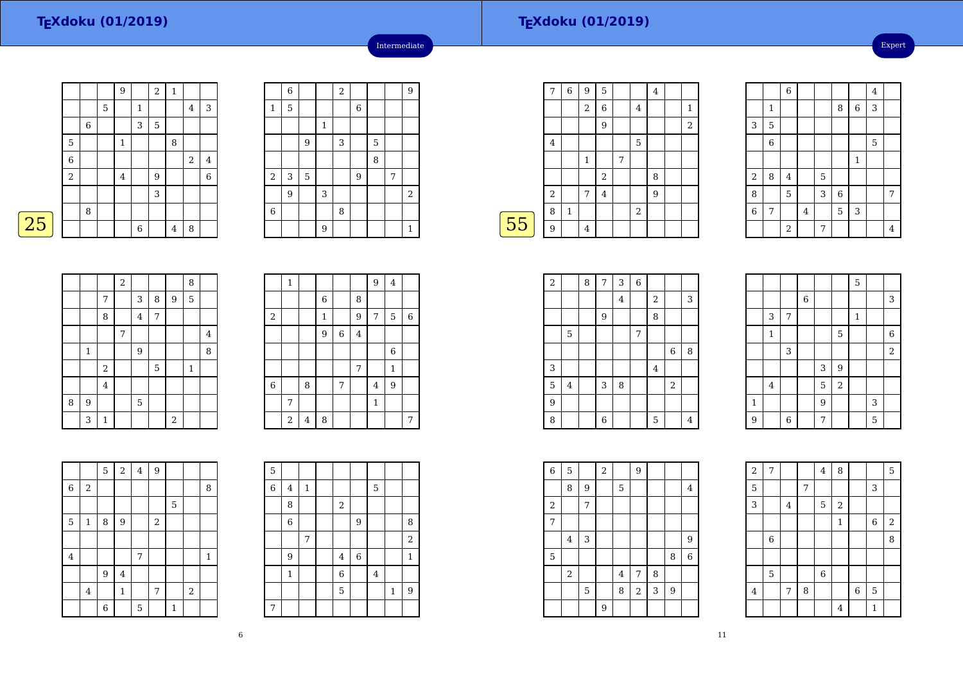$\boxed{25}$ 

|   |             |             |   | 9            |              | $\sqrt{2}$ | $\mathbf 1$ |            |             |
|---|-------------|-------------|---|--------------|--------------|------------|-------------|------------|-------------|
|   |             |             | 5 |              | $\mathbf{1}$ |            |             | $\bf 4$    | $\sqrt{3}$  |
|   |             | $\,$ 6 $\,$ |   |              | 3            | 5          |             |            |             |
|   | $\mathbf 5$ |             |   | $\mathbf{1}$ |              |            | 8           |            |             |
|   | $\,$ 6 $\,$ |             |   |              |              |            |             | $\sqrt{2}$ | $\bf 4$     |
|   | $\,2$       |             |   | $\bf 4$      |              | 9          |             |            | $\,$ 6 $\,$ |
|   |             |             |   |              |              | 3          |             |            |             |
|   |             | 8           |   |              |              |            |             |            |             |
| 5 |             |             |   |              | 6            |            | 4           | 8          |             |

|                | $\sqrt{6}$ |   |              | $\overline{2}$ |   |   |   | $\overline{9}$ |
|----------------|------------|---|--------------|----------------|---|---|---|----------------|
| $\mathbf{1}$   | 5          |   |              |                | 6 |   |   |                |
|                |            |   | $\mathbf{1}$ |                |   |   |   |                |
|                |            | 9 |              | 3              |   | 5 |   |                |
|                |            |   |              |                |   | 8 |   |                |
| $\,2$          | 3          | 5 |              |                | 9 |   | 7 |                |
|                | 9          |   | 3            |                |   |   |   | $\sqrt{2}$     |
| $\overline{6}$ |            |   |              | 8              |   |   |   |                |
|                |            |   | 9            |                |   |   |   | $\mathbf{1}$   |

Intermediate

|    | 7       | 6           | 9              | 5              |   |                | 4 |                |
|----|---------|-------------|----------------|----------------|---|----------------|---|----------------|
|    |         |             | $\sqrt{2}$     | 6              |   | 4              |   | $\mathbf{1}$   |
|    |         |             |                | 9              |   |                |   | $\overline{2}$ |
|    | $\,4\,$ |             |                |                |   | $\mathbf 5$    |   |                |
|    |         |             | $\mathbf{1}$   |                | 7 |                |   |                |
|    |         |             |                | $\,2$          |   |                | 8 |                |
|    | $\,2$   |             | 7              | $\overline{4}$ |   |                | 9 |                |
|    | 8       | $\mathbf 1$ |                |                |   | $\overline{2}$ |   |                |
| 55 | 9       |             | $\overline{4}$ |                |   |                |   |                |
|    |         |             |                |                |   |                |   |                |

|                |                | 6                       |   |   |                |             | $\bf 4$ |                |
|----------------|----------------|-------------------------|---|---|----------------|-------------|---------|----------------|
|                | 1              |                         |   |   | 8              | 6           | 3       |                |
| 3              | 5              |                         |   |   |                |             |         |                |
|                | $\overline{6}$ |                         |   |   |                |             | 5       |                |
|                |                |                         |   |   |                | $\mathbf 1$ |         |                |
| $\,2$          | 8              | $\overline{\mathbf{4}}$ |   | 5 |                |             |         |                |
| 8              |                | 5                       |   | 3 | $\overline{6}$ |             |         | 7              |
| $\overline{6}$ | 7              |                         | 4 |   | 5              | 3           |         |                |
|                |                | $\overline{2}$          |   | 7 |                |             |         | $\overline{4}$ |

|   |             |         | $\,2$ |                  |   |       | 8            |                |
|---|-------------|---------|-------|------------------|---|-------|--------------|----------------|
|   |             | 7       |       | 3                | 8 | 9     | 5            |                |
|   |             | 8       |       | $\overline{4}$   | 7 |       |              |                |
|   |             |         | 7     |                  |   |       |              | $\overline{4}$ |
|   | $\mathbf 1$ |         |       | $\boldsymbol{9}$ |   |       |              | 8              |
|   |             | $\,2$   |       |                  | 5 |       | $\mathbf{1}$ |                |
|   |             | $\bf 4$ |       |                  |   |       |              |                |
| 8 | 9           |         |       | 5                |   |       |              |                |
|   | 3           | 1       |       |                  |   | $\,2$ |              |                |

|                | $\mathbf{1}$ |   |                |                |                | 9              | $\bf 4$      |   |
|----------------|--------------|---|----------------|----------------|----------------|----------------|--------------|---|
|                |              |   | $\overline{6}$ |                | 8              |                |              |   |
| $\,2$          |              |   | $\mathbf{1}$   |                | 9              | 7              | 5            | 6 |
|                |              |   | 9              | $\overline{6}$ | $\overline{4}$ |                |              |   |
|                |              |   |                |                |                |                | 6            |   |
|                |              |   |                |                | 7              |                | $\mathbf{1}$ |   |
| $\overline{6}$ |              | 8 |                | 7              |                | $\overline{4}$ | 9            |   |
|                | 7            |   |                |                |                | $\mathbf 1$    |              |   |
|                | $\,2$        | 4 | 8              |                |                |                |              | 7 |

|                         |                | 5 | $\,2$       | $\bf{4}$ | 9     |              |            |             |
|-------------------------|----------------|---|-------------|----------|-------|--------------|------------|-------------|
| 6                       | 2              |   |             |          |       |              |            | 8           |
|                         |                |   |             |          |       | $\mathbf 5$  |            |             |
| 5                       | $\,1\,$        | 8 | $9\,$       |          | $\,2$ |              |            |             |
|                         |                |   |             |          |       |              |            |             |
| $\overline{\mathbf{4}}$ |                |   |             | 7        |       |              |            | $\mathbf 1$ |
|                         |                | 9 | $\bf 4$     |          |       |              |            |             |
|                         | $\overline{4}$ |   | $\mathbf 1$ |          | 7     |              | $\sqrt{2}$ |             |
|                         |                | 6 |             | 5        |       | $\mathbf{1}$ |            |             |

| 5              |                |              |                |       |         |              |                  |
|----------------|----------------|--------------|----------------|-------|---------|--------------|------------------|
| $\overline{6}$ | $\overline{4}$ | $\mathbf{1}$ |                |       | 5       |              |                  |
|                | 8              |              | 2              |       |         |              |                  |
|                | 6              |              |                | 9     |         |              | 8                |
|                |                | 7            |                |       |         |              | $\sqrt{2}$       |
|                | 9              |              | $\overline{4}$ | $\,6$ |         |              | $\mathbf{1}$     |
|                | $\mathbf{1}$   |              | $\overline{6}$ |       | $\bf 4$ |              |                  |
|                |                |              | 5              |       |         | $\mathbf{1}$ | $\boldsymbol{9}$ |
| 7              |                |              |                |       |         |              |                  |

┯

┑

| $\overline{\mathbf{c}}$ |                | 8 | $\overline{7}$ | 3       | $\,$ 6 $\,$ |                |            |   |  |
|-------------------------|----------------|---|----------------|---------|-------------|----------------|------------|---|--|
|                         |                |   |                | $\bf 4$ |             | $\overline{a}$ |            | 3 |  |
|                         |                |   | 9              |         |             | 8              |            |   |  |
|                         | $\mathbf 5$    |   |                |         | 7           |                |            |   |  |
|                         |                |   |                |         |             |                | 6          | 8 |  |
| 3                       |                |   |                |         |             | $\bf 4$        |            |   |  |
| 5                       | $\overline{4}$ |   | 3              | 8       |             |                | $\sqrt{2}$ |   |  |
| 9                       |                |   |                |         |             |                |            |   |  |
| 8                       |                |   | 6              |         |             | 5              |            | 4 |  |

|             |              |             |             |   |            | $\overline{5}$ |   |                |
|-------------|--------------|-------------|-------------|---|------------|----------------|---|----------------|
|             |              |             | $\,$ 6 $\,$ |   |            |                |   | 3              |
|             | 3            | 7           |             |   |            | $\mathbf{1}$   |   |                |
|             | $\mathbf{1}$ |             |             |   | 5          |                |   | $\overline{6}$ |
|             |              | 3           |             |   |            |                |   | $\overline{a}$ |
|             |              |             |             | 3 | 9          |                |   |                |
|             | $\bf 4$      |             |             | 5 | $\sqrt{2}$ |                |   |                |
| $\mathbf 1$ |              |             |             | 9 |            |                | 3 |                |
| 9           |              | $\,$ 6 $\,$ |             | 7 |            |                | 5 |                |

7 4 8 5

4 5 2

 $\frac{7}{3}$  3

1

<sup>8</sup>

<sup>7</sup> <sup>8</sup> <sup>6</sup> <sup>5</sup>

 $\frac{4}{1}$  1

<sup>6</sup>

 $\begin{array}{c|c} 6 & 2 \\ \hline 8 & \end{array}$ 

| $\overline{6}$ | 5          |   | $\overline{a}$ |                | 9          |   |                |                |
|----------------|------------|---|----------------|----------------|------------|---|----------------|----------------|
|                | 8          | 9 |                | 5              |            |   |                | $\overline{4}$ |
| $\,2$          |            | 7 |                |                |            |   |                |                |
| $\overline{7}$ |            |   |                |                |            |   |                |                |
|                | 4          | 3 |                |                |            |   |                | 9              |
| 5              |            |   |                |                |            |   | 8              | 6              |
|                | $\sqrt{2}$ |   |                | $\overline{4}$ | 7          | 8 |                |                |
|                |            | 5 |                | 8              | $\sqrt{2}$ | 3 | $\overline{9}$ |                |
|                |            |   | $\overline{9}$ |                |            |   |                |                |

2

 $\overline{5}$ 

 $\frac{5}{2}$  7

3 <sup>4</sup>

6

5

4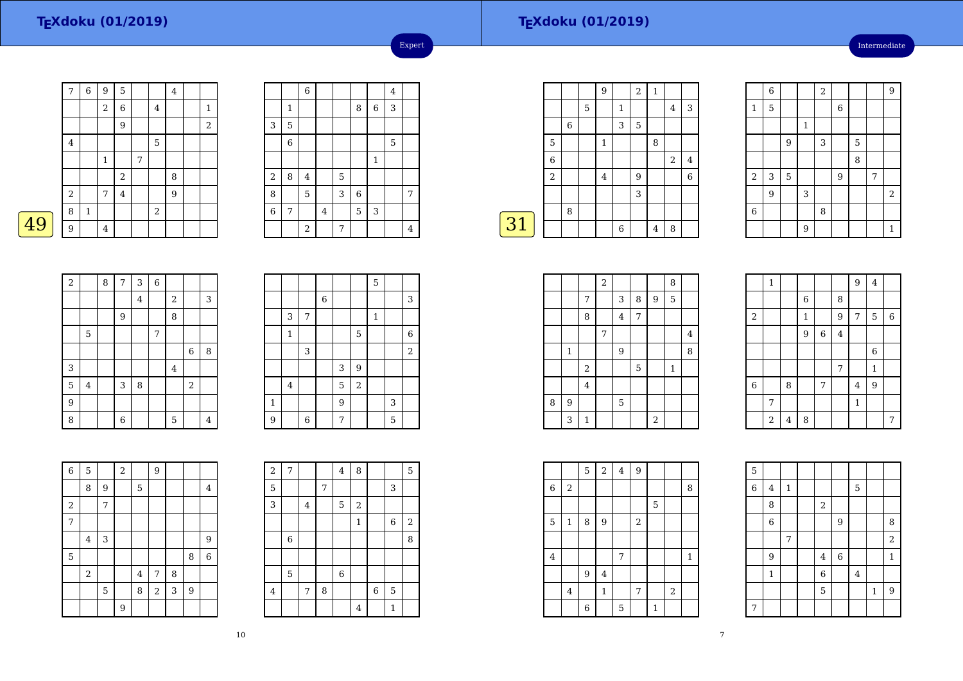49

#### **TEXdoku (01/2019)**

Intermediate

|   | $\sqrt{ }$ | $\,$ 6 $\,$  | $9\,$          | 5                       |   |                | $\bf 4$ |                |
|---|------------|--------------|----------------|-------------------------|---|----------------|---------|----------------|
|   |            |              | $\,2$          | 6                       |   | $\overline{4}$ |         | $\mathbf{1}$   |
|   |            |              |                | 9                       |   |                |         | $\overline{2}$ |
|   | $\bf 4$    |              |                |                         |   | 5              |         |                |
|   |            |              | $\,1$          |                         | 7 |                |         |                |
|   |            |              |                | $\overline{\mathbf{c}}$ |   |                | 8       |                |
|   | $\sqrt{2}$ |              | 7              | $\bf 4$                 |   |                | 9       |                |
|   | 8          | $\mathbf{1}$ |                |                         |   | $\,2$          |         |                |
| 9 | 9          |              | $\overline{4}$ |                         |   |                |         |                |
|   |            |              |                |                         |   |                |         |                |

|                         |                | $\overline{6}$ |   |   |   |             | 4 |   |
|-------------------------|----------------|----------------|---|---|---|-------------|---|---|
|                         | $\mathbf{1}$   |                |   |   | 8 | $\,$ 6 $\,$ | 3 |   |
| 3                       | 5              |                |   |   |   |             |   |   |
|                         | $\overline{6}$ |                |   |   |   |             | 5 |   |
|                         |                |                |   |   |   | $\,1\,$     |   |   |
| $\overline{\mathbf{c}}$ | 8              | $\bf 4$        |   | 5 |   |             |   |   |
| 8                       |                | 5              |   | 3 | 6 |             |   | 7 |
| $\overline{6}$          | 7              |                | 4 |   | 5 | 3           |   |   |
|                         |                | $\sqrt{2}$     |   | 7 |   |             |   | 4 |

Expert

|    |                |   |             | 9              |              | $\overline{a}$ | $\mathbf 1$ |                  |             |
|----|----------------|---|-------------|----------------|--------------|----------------|-------------|------------------|-------------|
|    |                |   | $\mathbf 5$ |                | $\mathbf{1}$ |                |             | $\overline{4}$   | 3           |
|    |                | 6 |             |                | 3            | 5              |             |                  |             |
|    | $\overline{5}$ |   |             | $\mathbf{1}$   |              |                | 8           |                  |             |
|    | 6              |   |             |                |              |                |             | $\boldsymbol{2}$ | $\bf 4$     |
|    | $\,2$          |   |             | $\overline{4}$ |              | 9              |             |                  | $\,$ 6 $\,$ |
|    |                |   |             |                |              | 3              |             |                  |             |
|    |                | 8 |             |                |              |                |             |                  |             |
| 31 |                |   |             |                | 6            |                | 4           | 8                |             |
|    |                |   |             |                |              |                |             |                  |             |

|                  | $\overline{6}$ |             |              | $\overline{2}$ |   |   |   | $\overline{9}$ |
|------------------|----------------|-------------|--------------|----------------|---|---|---|----------------|
| $\mathbf{1}$     | 5              |             |              |                | 6 |   |   |                |
|                  |                |             | $\mathbf{1}$ |                |   |   |   |                |
|                  |                | 9           |              | 3              |   | 5 |   |                |
|                  |                |             |              |                |   | 8 |   |                |
| $\boldsymbol{2}$ | 3              | $\mathbf 5$ |              |                | 9 |   | 7 |                |
|                  | 9              |             | 3            |                |   |   |   | $\overline{2}$ |
| $\,$ 6 $\,$      |                |             |              | 8              |   |   |   |                |
|                  |                |             | 9            |                |   |   |   | $\mathbf{1}$   |

| $\overline{a}$ |                | 8 | $\overline{7}$ | 3       | 6 |                |                |                |
|----------------|----------------|---|----------------|---------|---|----------------|----------------|----------------|
|                |                |   |                | $\bf 4$ |   | $\overline{2}$ |                | 3              |
|                |                |   | $\overline{9}$ |         |   | 8              |                |                |
|                | 5              |   |                |         | 7 |                |                |                |
|                |                |   |                |         |   |                | $\,$ 6 $\,$    | 8              |
| 3              |                |   |                |         |   | $\overline{4}$ |                |                |
| 5              | $\overline{4}$ |   | 3              | 8       |   |                | $\overline{2}$ |                |
| 9              |                |   |                |         |   |                |                |                |
| 8              |                |   | 6              |         |   | 5              |                | $\overline{4}$ |

|              |                |   |             |   |                | 5            |   |                |
|--------------|----------------|---|-------------|---|----------------|--------------|---|----------------|
|              |                |   |             |   |                |              |   |                |
|              |                |   | $\,$ 6 $\,$ |   |                |              |   | 3              |
|              | 3              | 7 |             |   |                | $\mathbf{1}$ |   |                |
|              | $\mathbf{1}$   |   |             |   | $\overline{5}$ |              |   | $\,$ 6 $\,$    |
|              |                | 3 |             |   |                |              |   | $\overline{a}$ |
|              |                |   |             | 3 | 9              |              |   |                |
|              | $\overline{4}$ |   |             | 5 | $\,2$          |              |   |                |
| $\mathbf{1}$ |                |   |             | 9 |                |              | 3 |                |
| 9            |                | 6 |             | 7 |                |              | 5 |                |

| $\overline{6}$   | 5                       |   | $\overline{a}$ |                | 9              |   |   |                  |
|------------------|-------------------------|---|----------------|----------------|----------------|---|---|------------------|
|                  | 8                       | 9 |                | 5              |                |   |   | 4                |
| $\boldsymbol{2}$ |                         | 7 |                |                |                |   |   |                  |
| 7                |                         |   |                |                |                |   |   |                  |
|                  | $\overline{\mathbf{4}}$ | 3 |                |                |                |   |   | 9                |
| 5                |                         |   |                |                |                |   | 8 | $\boldsymbol{6}$ |
|                  | $\sqrt{2}$              |   |                | $\overline{4}$ | 7              | 8 |   |                  |
|                  |                         | 5 |                | 8              | $\overline{a}$ | 3 | 9 |                  |
|                  |                         |   | 9              |                |                |   |   |                  |

| 2              | 7 |   |   | 4           | 8            |                |             | 5     |
|----------------|---|---|---|-------------|--------------|----------------|-------------|-------|
| 5              |   |   | 7 |             |              |                | 3           |       |
| 3              |   | 4 |   | 5           | $\,2$        |                |             |       |
|                |   |   |   |             | $\mathbf{1}$ |                | $\,$ 6 $\,$ | $\,2$ |
|                | 6 |   |   |             |              |                |             | 8     |
|                |   |   |   |             |              |                |             |       |
|                | 5 |   |   | $\,$ 6 $\,$ |              |                |             |       |
| $\overline{4}$ |   | 7 | 8 |             |              | $\overline{6}$ | $\mathbf 5$ |       |
|                |   |   |   |             | 4            |                | 1           |       |

|   |              |                | $\overline{a}$ |                |                |                | 8            |   |
|---|--------------|----------------|----------------|----------------|----------------|----------------|--------------|---|
|   |              | 7              |                | 3              | 8              | $\overline{9}$ | 5            |   |
|   |              | 8              |                | $\overline{4}$ | $\overline{7}$ |                |              |   |
|   |              |                | 7              |                |                |                |              | 4 |
|   | $\mathbf{1}$ |                |                | 9              |                |                |              | 8 |
|   |              | $\,2$          |                |                | 5              |                | $\mathbf{1}$ |   |
|   |              | $\overline{4}$ |                |                |                |                |              |   |
| 8 | 9            |                |                | 5              |                |                |              |   |
|   | 3            | $\mathbf{1}$   |                |                |                | $\,2$          |              |   |

|            | $\mathbf 1$      |                |                |             |                | $\overline{9}$ | $\overline{\mathbf{4}}$ |                |
|------------|------------------|----------------|----------------|-------------|----------------|----------------|-------------------------|----------------|
|            |                  |                | $\overline{6}$ |             | 8              |                |                         |                |
| $\sqrt{2}$ |                  |                | $\mathbf{1}$   |             | 9              | 7              | 5                       | $\overline{6}$ |
|            |                  |                | 9              | $\,$ 6 $\,$ | $\overline{4}$ |                |                         |                |
|            |                  |                |                |             |                |                | 6                       |                |
|            |                  |                |                |             | 7              |                | $\,1\,$                 |                |
| $\,6$      |                  | 8              |                | 7           |                | $\bf 4$        | 9                       |                |
|            | 7                |                |                |             |                | $\mathbf 1$    |                         |                |
|            | $\boldsymbol{2}$ | $\overline{4}$ | 8              |             |                |                |                         | 7              |

6 4 1 5

6 9 8

9 4 6 1

 $\begin{array}{|c|c|c|c|c|c|}\n\hline\n1 & 6 & 4 \\
\hline\n\end{array}$ 

 $\frac{7}{2}$  | | | | | | | | | 2

 $\begin{array}{c|c|c|c} 5 & 1 \end{array}$ 

<sup>9</sup>

8 | 2

7

|                |                | $\overline{5}$   | $\,2$            | $\overline{4}$ | $\overline{9}$ |   |                |              |  |
|----------------|----------------|------------------|------------------|----------------|----------------|---|----------------|--------------|--|
| $\,6$          | 2              |                  |                  |                |                |   |                | 8            |  |
|                |                |                  |                  |                |                | 5 |                |              |  |
| 5              | $\mathbf{1}$   | 8                | $\boldsymbol{9}$ |                | $\,2$          |   |                |              |  |
|                |                |                  |                  |                |                |   |                |              |  |
| $\overline{4}$ |                |                  |                  | 7              |                |   |                | $\mathbf{1}$ |  |
|                |                | $\boldsymbol{9}$ | $\overline{4}$   |                |                |   |                |              |  |
|                | $\overline{4}$ |                  | $\mathbf{1}$     |                | 7              |   | $\overline{2}$ |              |  |
|                |                | 6                |                  | 5              |                | 1 |                |              |  |

5

8

6

9

1

7